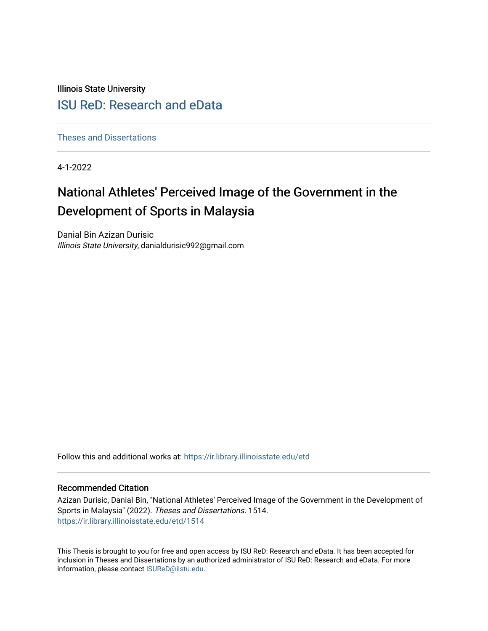Illinois State University

### [ISU ReD: Research and eData](https://ir.library.illinoisstate.edu/)

[Theses and Dissertations](https://ir.library.illinoisstate.edu/etd)

4-1-2022

# National Athletes' Perceived Image of the Government in the Development of Sports in Malaysia

Danial Bin Azizan Durisic Illinois State University, danialdurisic992@gmail.com

Follow this and additional works at: [https://ir.library.illinoisstate.edu/etd](https://ir.library.illinoisstate.edu/etd?utm_source=ir.library.illinoisstate.edu%2Fetd%2F1514&utm_medium=PDF&utm_campaign=PDFCoverPages) 

#### Recommended Citation

Azizan Durisic, Danial Bin, "National Athletes' Perceived Image of the Government in the Development of Sports in Malaysia" (2022). Theses and Dissertations. 1514. [https://ir.library.illinoisstate.edu/etd/1514](https://ir.library.illinoisstate.edu/etd/1514?utm_source=ir.library.illinoisstate.edu%2Fetd%2F1514&utm_medium=PDF&utm_campaign=PDFCoverPages) 

This Thesis is brought to you for free and open access by ISU ReD: Research and eData. It has been accepted for inclusion in Theses and Dissertations by an authorized administrator of ISU ReD: Research and eData. For more information, please contact [ISUReD@ilstu.edu.](mailto:ISUReD@ilstu.edu)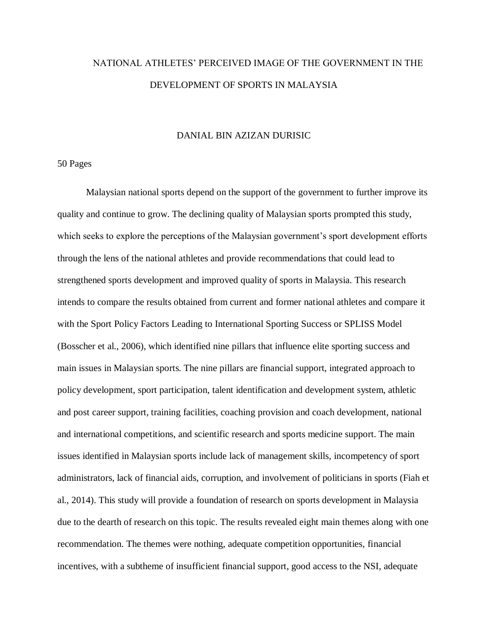# NATIONAL ATHLETES' PERCEIVED IMAGE OF THE GOVERNMENT IN THE DEVELOPMENT OF SPORTS IN MALAYSIA

#### DANIAL BIN AZIZAN DURISIC

50 Pages

Malaysian national sports depend on the support of the government to further improve its quality and continue to grow. The declining quality of Malaysian sports prompted this study, which seeks to explore the perceptions of the Malaysian government's sport development efforts through the lens of the national athletes and provide recommendations that could lead to strengthened sports development and improved quality of sports in Malaysia. This research intends to compare the results obtained from current and former national athletes and compare it with the Sport Policy Factors Leading to International Sporting Success or SPLISS Model (Bosscher et al., 2006), which identified nine pillars that influence elite sporting success and main issues in Malaysian sports. The nine pillars are financial support, integrated approach to policy development, sport participation, talent identification and development system, athletic and post career support, training facilities, coaching provision and coach development, national and international competitions, and scientific research and sports medicine support. The main issues identified in Malaysian sports include lack of management skills, incompetency of sport administrators, lack of financial aids, corruption, and involvement of politicians in sports (Fiah et al., 2014). This study will provide a foundation of research on sports development in Malaysia due to the dearth of research on this topic. The results revealed eight main themes along with one recommendation. The themes were nothing, adequate competition opportunities, financial incentives, with a subtheme of insufficient financial support, good access to the NSI, adequate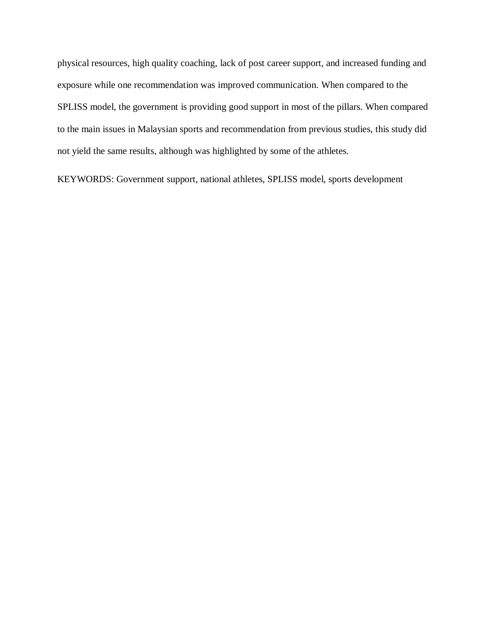physical resources, high quality coaching, lack of post career support, and increased funding and exposure while one recommendation was improved communication. When compared to the SPLISS model, the government is providing good support in most of the pillars. When compared to the main issues in Malaysian sports and recommendation from previous studies, this study did not yield the same results, although was highlighted by some of the athletes.

KEYWORDS: Government support, national athletes, SPLISS model, sports development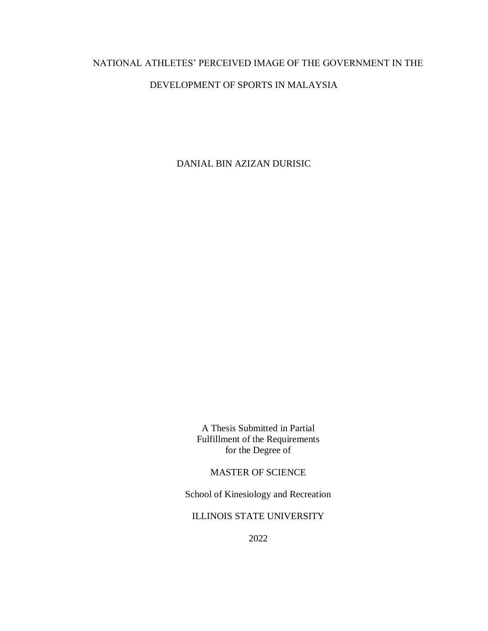# NATIONAL ATHLETES' PERCEIVED IMAGE OF THE GOVERNMENT IN THE DEVELOPMENT OF SPORTS IN MALAYSIA

DANIAL BIN AZIZAN DURISIC

A Thesis Submitted in Partial Fulfillment of the Requirements for the Degree of

MASTER OF SCIENCE

School of Kinesiology and Recreation

ILLINOIS STATE UNIVERSITY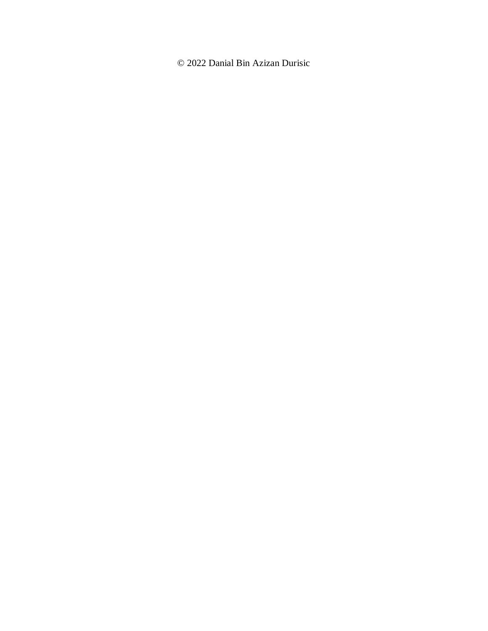© 2022 Danial Bin Azizan Durisic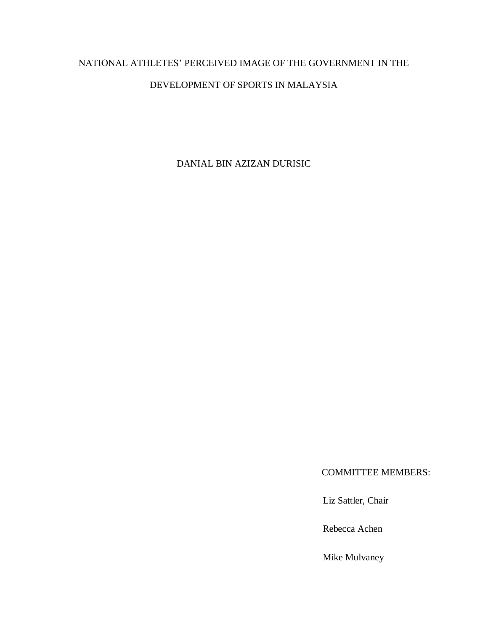# NATIONAL ATHLETES' PERCEIVED IMAGE OF THE GOVERNMENT IN THE DEVELOPMENT OF SPORTS IN MALAYSIA

DANIAL BIN AZIZAN DURISIC

COMMITTEE MEMBERS:

Liz Sattler, Chair

Rebecca Achen

Mike Mulvaney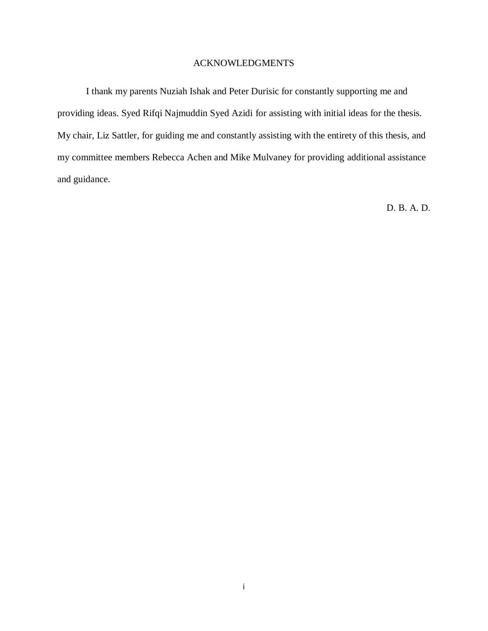#### ACKNOWLEDGMENTS

I thank my parents Nuziah Ishak and Peter Durisic for constantly supporting me and providing ideas. Syed Rifqi Najmuddin Syed Azidi for assisting with initial ideas for the thesis. My chair, Liz Sattler, for guiding me and constantly assisting with the entirety of this thesis, and my committee members Rebecca Achen and Mike Mulvaney for providing additional assistance and guidance.

D. B. A. D.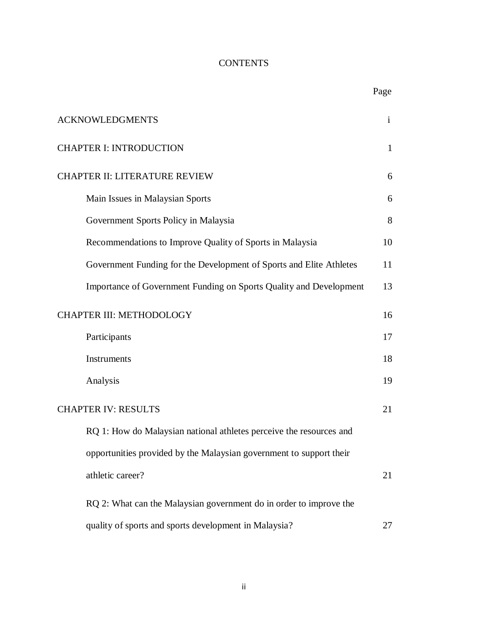### **CONTENTS**

|                                                                     | Page         |
|---------------------------------------------------------------------|--------------|
| <b>ACKNOWLEDGMENTS</b>                                              | $\mathbf{i}$ |
| <b>CHAPTER I: INTRODUCTION</b>                                      | 1            |
| <b>CHAPTER II: LITERATURE REVIEW</b>                                | 6            |
| Main Issues in Malaysian Sports                                     | 6            |
| Government Sports Policy in Malaysia                                | 8            |
| Recommendations to Improve Quality of Sports in Malaysia            | 10           |
| Government Funding for the Development of Sports and Elite Athletes | 11           |
| Importance of Government Funding on Sports Quality and Development  | 13           |
| <b>CHAPTER III: METHODOLOGY</b>                                     | 16           |
| Participants                                                        | 17           |
| Instruments                                                         | 18           |
| Analysis                                                            | 19           |
| <b>CHAPTER IV: RESULTS</b>                                          | 21           |
| RQ 1: How do Malaysian national athletes perceive the resources and |              |
| opportunities provided by the Malaysian government to support their |              |
| athletic career?                                                    | 21           |
| RQ 2: What can the Malaysian government do in order to improve the  |              |
| quality of sports and sports development in Malaysia?               | 27           |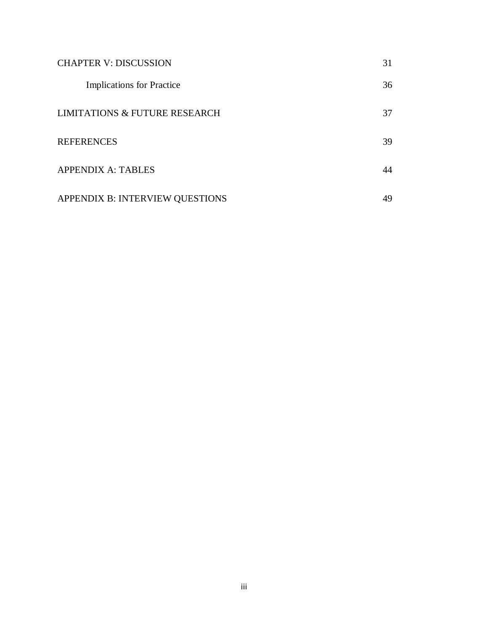| <b>CHAPTER V: DISCUSSION</b>     | 31 |
|----------------------------------|----|
| <b>Implications</b> for Practice | 36 |
| LIMITATIONS & FUTURE RESEARCH    | 37 |
| <b>REFERENCES</b>                | 39 |
| <b>APPENDIX A: TABLES</b>        | 44 |
| APPENDIX B: INTERVIEW QUESTIONS  | 49 |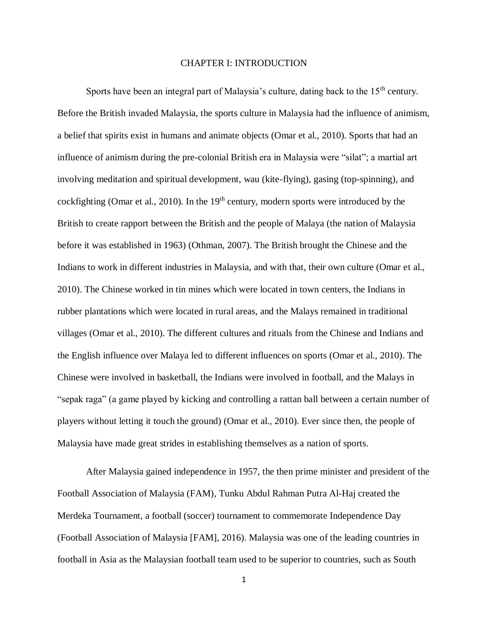#### CHAPTER I: INTRODUCTION

Sports have been an integral part of Malaysia's culture, dating back to the  $15<sup>th</sup>$  century. Before the British invaded Malaysia, the sports culture in Malaysia had the influence of animism, a belief that spirits exist in humans and animate objects (Omar et al., 2010). Sports that had an influence of animism during the pre-colonial British era in Malaysia were "silat"; a martial art involving meditation and spiritual development, wau (kite-flying), gasing (top-spinning), and cockfighting (Omar et al., 2010). In the  $19<sup>th</sup>$  century, modern sports were introduced by the British to create rapport between the British and the people of Malaya (the nation of Malaysia before it was established in 1963) (Othman, 2007). The British brought the Chinese and the Indians to work in different industries in Malaysia, and with that, their own culture (Omar et al., 2010). The Chinese worked in tin mines which were located in town centers, the Indians in rubber plantations which were located in rural areas, and the Malays remained in traditional villages (Omar et al., 2010). The different cultures and rituals from the Chinese and Indians and the English influence over Malaya led to different influences on sports (Omar et al., 2010). The Chinese were involved in basketball, the Indians were involved in football, and the Malays in "sepak raga" (a game played by kicking and controlling a rattan ball between a certain number of players without letting it touch the ground) (Omar et al., 2010). Ever since then, the people of Malaysia have made great strides in establishing themselves as a nation of sports.

After Malaysia gained independence in 1957, the then prime minister and president of the Football Association of Malaysia (FAM), Tunku Abdul Rahman Putra Al-Haj created the Merdeka Tournament, a football (soccer) tournament to commemorate Independence Day (Football Association of Malaysia [FAM], 2016). Malaysia was one of the leading countries in football in Asia as the Malaysian football team used to be superior to countries, such as South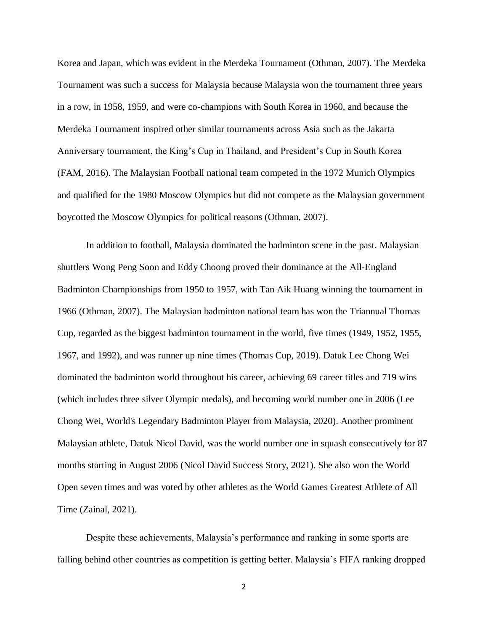Korea and Japan, which was evident in the Merdeka Tournament (Othman, 2007). The Merdeka Tournament was such a success for Malaysia because Malaysia won the tournament three years in a row, in 1958, 1959, and were co-champions with South Korea in 1960, and because the Merdeka Tournament inspired other similar tournaments across Asia such as the Jakarta Anniversary tournament, the King's Cup in Thailand, and President's Cup in South Korea (FAM, 2016). The Malaysian Football national team competed in the 1972 Munich Olympics and qualified for the 1980 Moscow Olympics but did not compete as the Malaysian government boycotted the Moscow Olympics for political reasons (Othman, 2007).

In addition to football, Malaysia dominated the badminton scene in the past. Malaysian shuttlers Wong Peng Soon and Eddy Choong proved their dominance at the All-England Badminton Championships from 1950 to 1957, with Tan Aik Huang winning the tournament in 1966 (Othman, 2007). The Malaysian badminton national team has won the Triannual Thomas Cup, regarded as the biggest badminton tournament in the world, five times (1949, 1952, 1955, 1967, and 1992), and was runner up nine times (Thomas Cup, 2019). Datuk Lee Chong Wei dominated the badminton world throughout his career, achieving 69 career titles and 719 wins (which includes three silver Olympic medals), and becoming world number one in 2006 (Lee Chong Wei, World's Legendary Badminton Player from Malaysia, 2020). Another prominent Malaysian athlete, Datuk Nicol David, was the world number one in squash consecutively for 87 months starting in August 2006 (Nicol David Success Story, 2021). She also won the World Open seven times and was voted by other athletes as the World Games Greatest Athlete of All Time (Zainal, 2021).

Despite these achievements, Malaysia's performance and ranking in some sports are falling behind other countries as competition is getting better. Malaysia's FIFA ranking dropped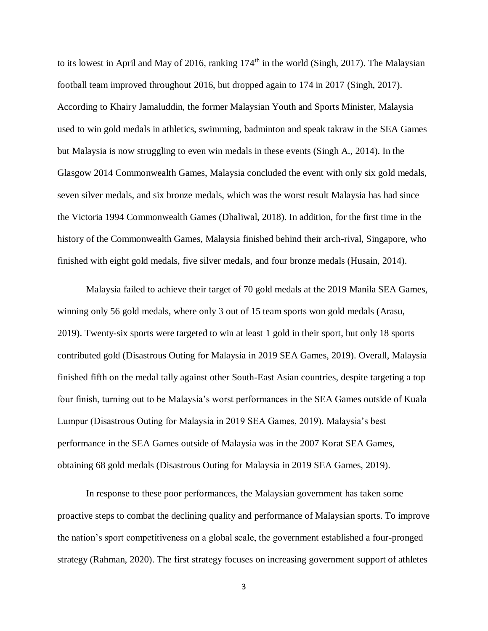to its lowest in April and May of 2016, ranking  $174<sup>th</sup>$  in the world (Singh, 2017). The Malaysian football team improved throughout 2016, but dropped again to 174 in 2017 (Singh, 2017). According to Khairy Jamaluddin, the former Malaysian Youth and Sports Minister, Malaysia used to win gold medals in athletics, swimming, badminton and speak takraw in the SEA Games but Malaysia is now struggling to even win medals in these events (Singh A., 2014). In the Glasgow 2014 Commonwealth Games, Malaysia concluded the event with only six gold medals, seven silver medals, and six bronze medals, which was the worst result Malaysia has had since the Victoria 1994 Commonwealth Games (Dhaliwal, 2018). In addition, for the first time in the history of the Commonwealth Games, Malaysia finished behind their arch-rival, Singapore, who finished with eight gold medals, five silver medals, and four bronze medals (Husain, 2014).

Malaysia failed to achieve their target of 70 gold medals at the 2019 Manila SEA Games, winning only 56 gold medals, where only 3 out of 15 team sports won gold medals (Arasu, 2019). Twenty-six sports were targeted to win at least 1 gold in their sport, but only 18 sports contributed gold (Disastrous Outing for Malaysia in 2019 SEA Games, 2019). Overall, Malaysia finished fifth on the medal tally against other South-East Asian countries, despite targeting a top four finish, turning out to be Malaysia's worst performances in the SEA Games outside of Kuala Lumpur (Disastrous Outing for Malaysia in 2019 SEA Games, 2019). Malaysia's best performance in the SEA Games outside of Malaysia was in the 2007 Korat SEA Games, obtaining 68 gold medals (Disastrous Outing for Malaysia in 2019 SEA Games, 2019).

In response to these poor performances, the Malaysian government has taken some proactive steps to combat the declining quality and performance of Malaysian sports. To improve the nation's sport competitiveness on a global scale, the government established a four-pronged strategy (Rahman, 2020). The first strategy focuses on increasing government support of athletes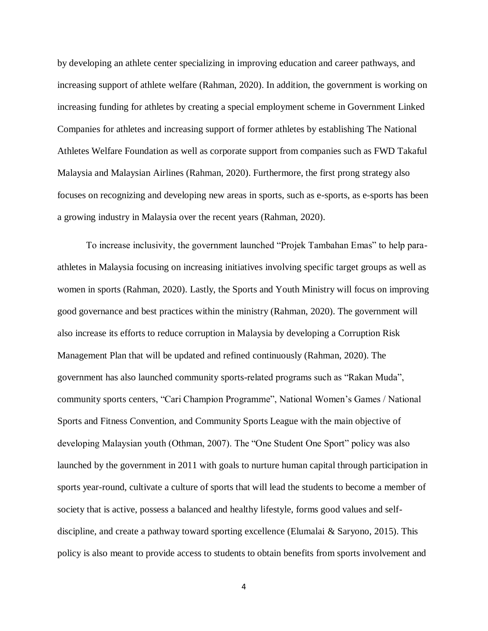by developing an athlete center specializing in improving education and career pathways, and increasing support of athlete welfare (Rahman, 2020). In addition, the government is working on increasing funding for athletes by creating a special employment scheme in Government Linked Companies for athletes and increasing support of former athletes by establishing The National Athletes Welfare Foundation as well as corporate support from companies such as FWD Takaful Malaysia and Malaysian Airlines (Rahman, 2020). Furthermore, the first prong strategy also focuses on recognizing and developing new areas in sports, such as e-sports, as e-sports has been a growing industry in Malaysia over the recent years (Rahman, 2020).

To increase inclusivity, the government launched "Projek Tambahan Emas" to help paraathletes in Malaysia focusing on increasing initiatives involving specific target groups as well as women in sports (Rahman, 2020). Lastly, the Sports and Youth Ministry will focus on improving good governance and best practices within the ministry (Rahman, 2020). The government will also increase its efforts to reduce corruption in Malaysia by developing a Corruption Risk Management Plan that will be updated and refined continuously (Rahman, 2020). The government has also launched community sports-related programs such as "Rakan Muda", community sports centers, "Cari Champion Programme", National Women's Games / National Sports and Fitness Convention, and Community Sports League with the main objective of developing Malaysian youth (Othman, 2007). The "One Student One Sport" policy was also launched by the government in 2011 with goals to nurture human capital through participation in sports year-round, cultivate a culture of sports that will lead the students to become a member of society that is active, possess a balanced and healthy lifestyle, forms good values and selfdiscipline, and create a pathway toward sporting excellence (Elumalai & Saryono, 2015). This policy is also meant to provide access to students to obtain benefits from sports involvement and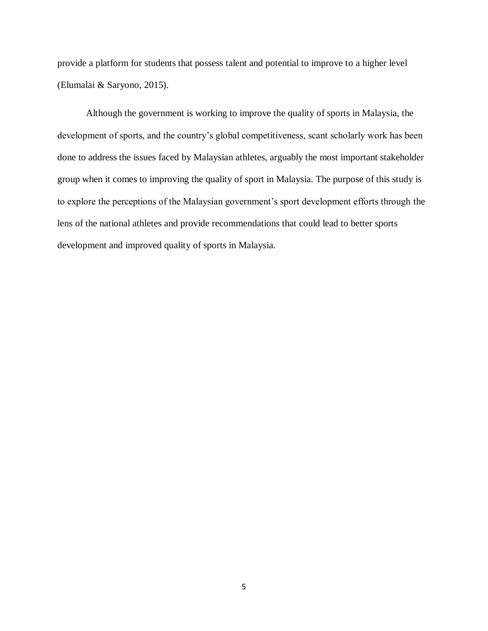provide a platform for students that possess talent and potential to improve to a higher level (Elumalai & Saryono, 2015).

Although the government is working to improve the quality of sports in Malaysia, the development of sports, and the country's global competitiveness, scant scholarly work has been done to address the issues faced by Malaysian athletes, arguably the most important stakeholder group when it comes to improving the quality of sport in Malaysia. The purpose of this study is to explore the perceptions of the Malaysian government's sport development efforts through the lens of the national athletes and provide recommendations that could lead to better sports development and improved quality of sports in Malaysia.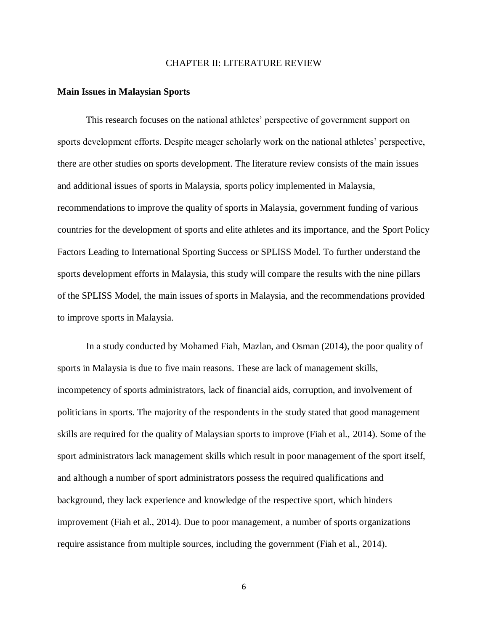#### CHAPTER II: LITERATURE REVIEW

#### **Main Issues in Malaysian Sports**

This research focuses on the national athletes' perspective of government support on sports development efforts. Despite meager scholarly work on the national athletes' perspective, there are other studies on sports development. The literature review consists of the main issues and additional issues of sports in Malaysia, sports policy implemented in Malaysia, recommendations to improve the quality of sports in Malaysia, government funding of various countries for the development of sports and elite athletes and its importance, and the Sport Policy Factors Leading to International Sporting Success or SPLISS Model. To further understand the sports development efforts in Malaysia, this study will compare the results with the nine pillars of the SPLISS Model, the main issues of sports in Malaysia, and the recommendations provided to improve sports in Malaysia.

In a study conducted by Mohamed Fiah, Mazlan, and Osman (2014), the poor quality of sports in Malaysia is due to five main reasons. These are lack of management skills, incompetency of sports administrators, lack of financial aids, corruption, and involvement of politicians in sports. The majority of the respondents in the study stated that good management skills are required for the quality of Malaysian sports to improve (Fiah et al., 2014). Some of the sport administrators lack management skills which result in poor management of the sport itself, and although a number of sport administrators possess the required qualifications and background, they lack experience and knowledge of the respective sport, which hinders improvement (Fiah et al., 2014). Due to poor management, a number of sports organizations require assistance from multiple sources, including the government (Fiah et al., 2014).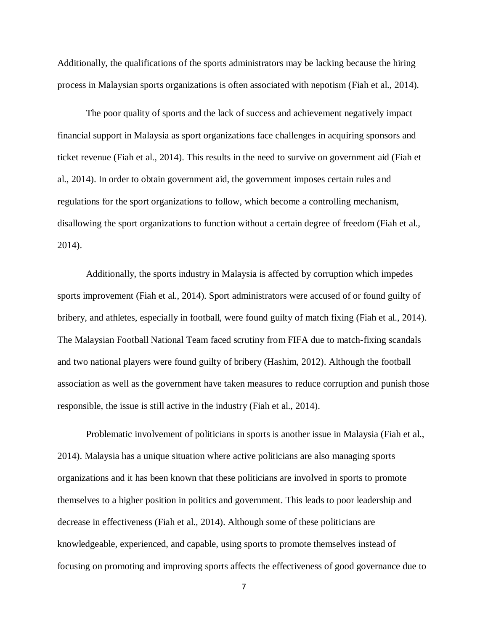Additionally, the qualifications of the sports administrators may be lacking because the hiring process in Malaysian sports organizations is often associated with nepotism (Fiah et al., 2014).

The poor quality of sports and the lack of success and achievement negatively impact financial support in Malaysia as sport organizations face challenges in acquiring sponsors and ticket revenue (Fiah et al., 2014). This results in the need to survive on government aid (Fiah et al., 2014). In order to obtain government aid, the government imposes certain rules and regulations for the sport organizations to follow, which become a controlling mechanism, disallowing the sport organizations to function without a certain degree of freedom (Fiah et al., 2014).

Additionally, the sports industry in Malaysia is affected by corruption which impedes sports improvement (Fiah et al., 2014). Sport administrators were accused of or found guilty of bribery, and athletes, especially in football, were found guilty of match fixing (Fiah et al., 2014). The Malaysian Football National Team faced scrutiny from FIFA due to match-fixing scandals and two national players were found guilty of bribery (Hashim, 2012). Although the football association as well as the government have taken measures to reduce corruption and punish those responsible, the issue is still active in the industry (Fiah et al., 2014).

Problematic involvement of politicians in sports is another issue in Malaysia (Fiah et al., 2014). Malaysia has a unique situation where active politicians are also managing sports organizations and it has been known that these politicians are involved in sports to promote themselves to a higher position in politics and government. This leads to poor leadership and decrease in effectiveness (Fiah et al., 2014). Although some of these politicians are knowledgeable, experienced, and capable, using sports to promote themselves instead of focusing on promoting and improving sports affects the effectiveness of good governance due to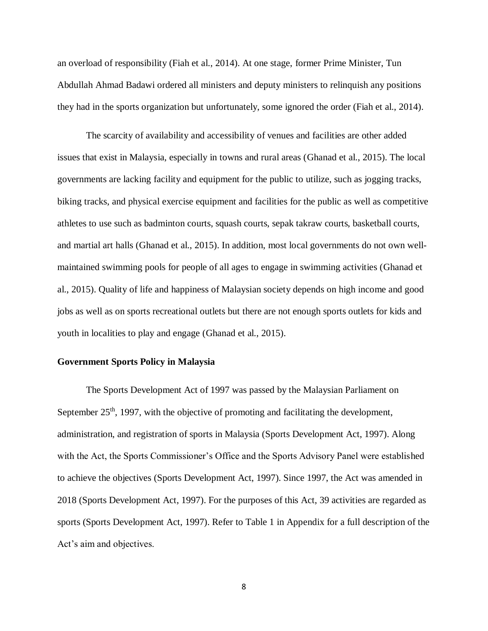an overload of responsibility (Fiah et al., 2014). At one stage, former Prime Minister, Tun Abdullah Ahmad Badawi ordered all ministers and deputy ministers to relinquish any positions they had in the sports organization but unfortunately, some ignored the order (Fiah et al., 2014).

The scarcity of availability and accessibility of venues and facilities are other added issues that exist in Malaysia, especially in towns and rural areas (Ghanad et al., 2015). The local governments are lacking facility and equipment for the public to utilize, such as jogging tracks, biking tracks, and physical exercise equipment and facilities for the public as well as competitive athletes to use such as badminton courts, squash courts, sepak takraw courts, basketball courts, and martial art halls (Ghanad et al., 2015). In addition, most local governments do not own wellmaintained swimming pools for people of all ages to engage in swimming activities (Ghanad et al., 2015). Quality of life and happiness of Malaysian society depends on high income and good jobs as well as on sports recreational outlets but there are not enough sports outlets for kids and youth in localities to play and engage (Ghanad et al., 2015).

#### **Government Sports Policy in Malaysia**

The Sports Development Act of 1997 was passed by the Malaysian Parliament on September  $25<sup>th</sup>$ , 1997, with the objective of promoting and facilitating the development, administration, and registration of sports in Malaysia (Sports Development Act, 1997). Along with the Act, the Sports Commissioner's Office and the Sports Advisory Panel were established to achieve the objectives (Sports Development Act, 1997). Since 1997, the Act was amended in 2018 (Sports Development Act, 1997). For the purposes of this Act, 39 activities are regarded as sports (Sports Development Act, 1997). Refer to Table 1 in Appendix for a full description of the Act's aim and objectives.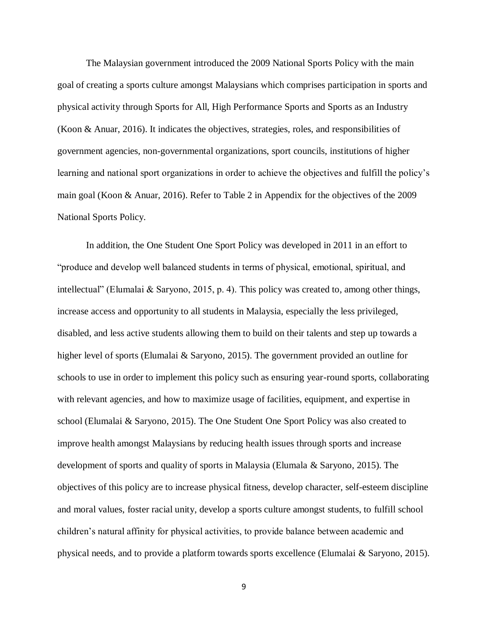The Malaysian government introduced the 2009 National Sports Policy with the main goal of creating a sports culture amongst Malaysians which comprises participation in sports and physical activity through Sports for All, High Performance Sports and Sports as an Industry (Koon & Anuar, 2016). It indicates the objectives, strategies, roles, and responsibilities of government agencies, non-governmental organizations, sport councils, institutions of higher learning and national sport organizations in order to achieve the objectives and fulfill the policy's main goal (Koon & Anuar, 2016). Refer to Table 2 in Appendix for the objectives of the 2009 National Sports Policy.

In addition, the One Student One Sport Policy was developed in 2011 in an effort to "produce and develop well balanced students in terms of physical, emotional, spiritual, and intellectual" (Elumalai & Saryono, 2015, p. 4). This policy was created to, among other things, increase access and opportunity to all students in Malaysia, especially the less privileged, disabled, and less active students allowing them to build on their talents and step up towards a higher level of sports (Elumalai & Saryono, 2015). The government provided an outline for schools to use in order to implement this policy such as ensuring year-round sports, collaborating with relevant agencies, and how to maximize usage of facilities, equipment, and expertise in school (Elumalai & Saryono, 2015). The One Student One Sport Policy was also created to improve health amongst Malaysians by reducing health issues through sports and increase development of sports and quality of sports in Malaysia (Elumala & Saryono, 2015). The objectives of this policy are to increase physical fitness, develop character, self-esteem discipline and moral values, foster racial unity, develop a sports culture amongst students, to fulfill school children's natural affinity for physical activities, to provide balance between academic and physical needs, and to provide a platform towards sports excellence (Elumalai & Saryono, 2015).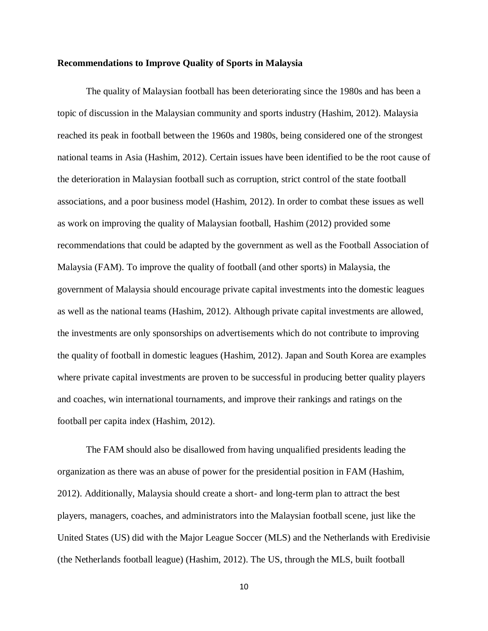#### **Recommendations to Improve Quality of Sports in Malaysia**

The quality of Malaysian football has been deteriorating since the 1980s and has been a topic of discussion in the Malaysian community and sports industry (Hashim, 2012). Malaysia reached its peak in football between the 1960s and 1980s, being considered one of the strongest national teams in Asia (Hashim, 2012). Certain issues have been identified to be the root cause of the deterioration in Malaysian football such as corruption, strict control of the state football associations, and a poor business model (Hashim, 2012). In order to combat these issues as well as work on improving the quality of Malaysian football, Hashim (2012) provided some recommendations that could be adapted by the government as well as the Football Association of Malaysia (FAM). To improve the quality of football (and other sports) in Malaysia, the government of Malaysia should encourage private capital investments into the domestic leagues as well as the national teams (Hashim, 2012). Although private capital investments are allowed, the investments are only sponsorships on advertisements which do not contribute to improving the quality of football in domestic leagues (Hashim, 2012). Japan and South Korea are examples where private capital investments are proven to be successful in producing better quality players and coaches, win international tournaments, and improve their rankings and ratings on the football per capita index (Hashim, 2012).

The FAM should also be disallowed from having unqualified presidents leading the organization as there was an abuse of power for the presidential position in FAM (Hashim, 2012). Additionally, Malaysia should create a short- and long-term plan to attract the best players, managers, coaches, and administrators into the Malaysian football scene, just like the United States (US) did with the Major League Soccer (MLS) and the Netherlands with Eredivisie (the Netherlands football league) (Hashim, 2012). The US, through the MLS, built football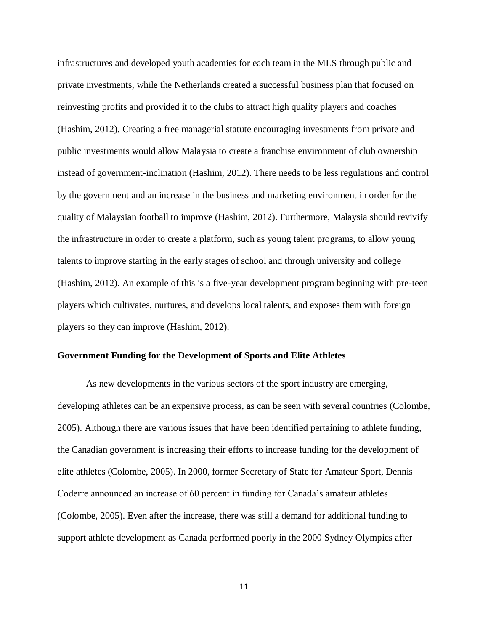infrastructures and developed youth academies for each team in the MLS through public and private investments, while the Netherlands created a successful business plan that focused on reinvesting profits and provided it to the clubs to attract high quality players and coaches (Hashim, 2012). Creating a free managerial statute encouraging investments from private and public investments would allow Malaysia to create a franchise environment of club ownership instead of government-inclination (Hashim, 2012). There needs to be less regulations and control by the government and an increase in the business and marketing environment in order for the quality of Malaysian football to improve (Hashim, 2012). Furthermore, Malaysia should revivify the infrastructure in order to create a platform, such as young talent programs, to allow young talents to improve starting in the early stages of school and through university and college (Hashim, 2012). An example of this is a five-year development program beginning with pre-teen players which cultivates, nurtures, and develops local talents, and exposes them with foreign players so they can improve (Hashim, 2012).

#### **Government Funding for the Development of Sports and Elite Athletes**

As new developments in the various sectors of the sport industry are emerging, developing athletes can be an expensive process, as can be seen with several countries (Colombe, 2005). Although there are various issues that have been identified pertaining to athlete funding, the Canadian government is increasing their efforts to increase funding for the development of elite athletes (Colombe, 2005). In 2000, former Secretary of State for Amateur Sport, Dennis Coderre announced an increase of 60 percent in funding for Canada's amateur athletes (Colombe, 2005). Even after the increase, there was still a demand for additional funding to support athlete development as Canada performed poorly in the 2000 Sydney Olympics after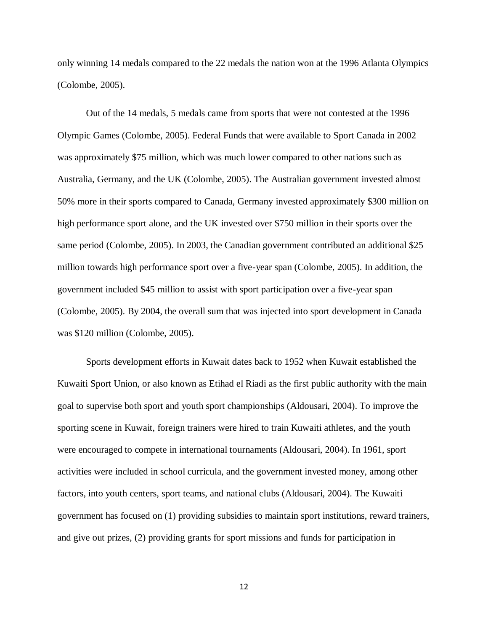only winning 14 medals compared to the 22 medals the nation won at the 1996 Atlanta Olympics (Colombe, 2005).

Out of the 14 medals, 5 medals came from sports that were not contested at the 1996 Olympic Games (Colombe, 2005). Federal Funds that were available to Sport Canada in 2002 was approximately \$75 million, which was much lower compared to other nations such as Australia, Germany, and the UK (Colombe, 2005). The Australian government invested almost 50% more in their sports compared to Canada, Germany invested approximately \$300 million on high performance sport alone, and the UK invested over \$750 million in their sports over the same period (Colombe, 2005). In 2003, the Canadian government contributed an additional \$25 million towards high performance sport over a five-year span (Colombe, 2005). In addition, the government included \$45 million to assist with sport participation over a five-year span (Colombe, 2005). By 2004, the overall sum that was injected into sport development in Canada was \$120 million (Colombe, 2005).

Sports development efforts in Kuwait dates back to 1952 when Kuwait established the Kuwaiti Sport Union, or also known as Etihad el Riadi as the first public authority with the main goal to supervise both sport and youth sport championships (Aldousari, 2004). To improve the sporting scene in Kuwait, foreign trainers were hired to train Kuwaiti athletes, and the youth were encouraged to compete in international tournaments (Aldousari, 2004). In 1961, sport activities were included in school curricula, and the government invested money, among other factors, into youth centers, sport teams, and national clubs (Aldousari, 2004). The Kuwaiti government has focused on (1) providing subsidies to maintain sport institutions, reward trainers, and give out prizes, (2) providing grants for sport missions and funds for participation in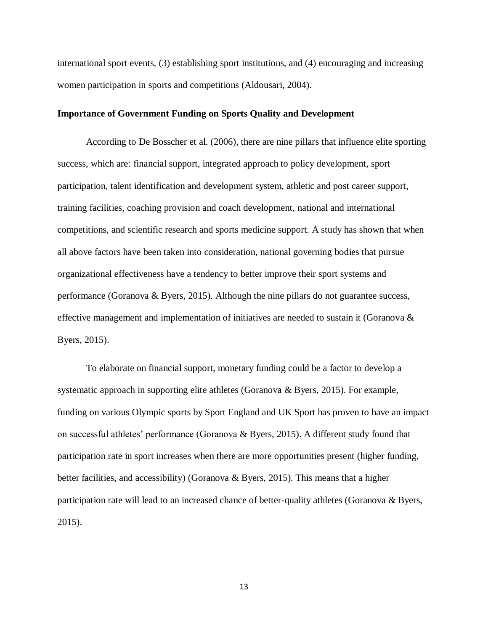international sport events, (3) establishing sport institutions, and (4) encouraging and increasing women participation in sports and competitions (Aldousari, 2004).

#### **Importance of Government Funding on Sports Quality and Development**

According to De Bosscher et al. (2006), there are nine pillars that influence elite sporting success, which are: financial support, integrated approach to policy development, sport participation, talent identification and development system, athletic and post career support, training facilities, coaching provision and coach development, national and international competitions, and scientific research and sports medicine support. A study has shown that when all above factors have been taken into consideration, national governing bodies that pursue organizational effectiveness have a tendency to better improve their sport systems and performance (Goranova & Byers, 2015). Although the nine pillars do not guarantee success, effective management and implementation of initiatives are needed to sustain it (Goranova & Byers, 2015).

To elaborate on financial support, monetary funding could be a factor to develop a systematic approach in supporting elite athletes (Goranova & Byers, 2015). For example, funding on various Olympic sports by Sport England and UK Sport has proven to have an impact on successful athletes' performance (Goranova & Byers, 2015). A different study found that participation rate in sport increases when there are more opportunities present (higher funding, better facilities, and accessibility) (Goranova & Byers, 2015). This means that a higher participation rate will lead to an increased chance of better-quality athletes (Goranova & Byers, 2015).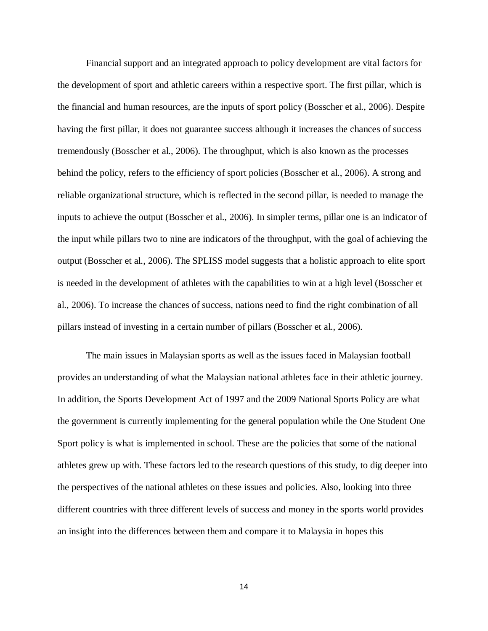Financial support and an integrated approach to policy development are vital factors for the development of sport and athletic careers within a respective sport. The first pillar, which is the financial and human resources, are the inputs of sport policy (Bosscher et al., 2006). Despite having the first pillar, it does not guarantee success although it increases the chances of success tremendously (Bosscher et al., 2006). The throughput, which is also known as the processes behind the policy, refers to the efficiency of sport policies (Bosscher et al., 2006). A strong and reliable organizational structure, which is reflected in the second pillar, is needed to manage the inputs to achieve the output (Bosscher et al., 2006). In simpler terms, pillar one is an indicator of the input while pillars two to nine are indicators of the throughput, with the goal of achieving the output (Bosscher et al., 2006). The SPLISS model suggests that a holistic approach to elite sport is needed in the development of athletes with the capabilities to win at a high level (Bosscher et al., 2006). To increase the chances of success, nations need to find the right combination of all pillars instead of investing in a certain number of pillars (Bosscher et al., 2006).

The main issues in Malaysian sports as well as the issues faced in Malaysian football provides an understanding of what the Malaysian national athletes face in their athletic journey. In addition, the Sports Development Act of 1997 and the 2009 National Sports Policy are what the government is currently implementing for the general population while the One Student One Sport policy is what is implemented in school. These are the policies that some of the national athletes grew up with. These factors led to the research questions of this study, to dig deeper into the perspectives of the national athletes on these issues and policies. Also, looking into three different countries with three different levels of success and money in the sports world provides an insight into the differences between them and compare it to Malaysia in hopes this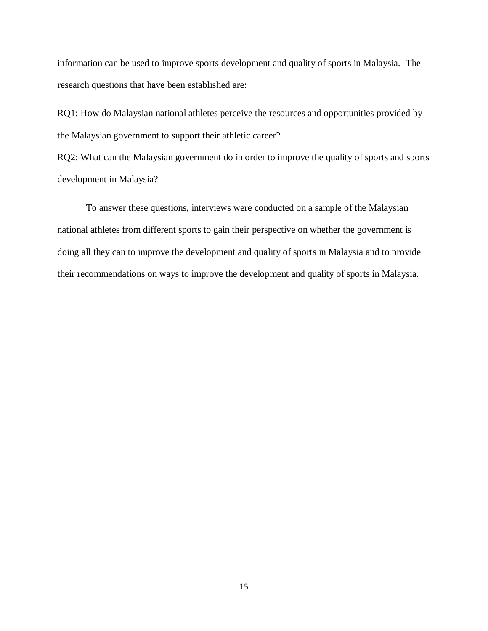information can be used to improve sports development and quality of sports in Malaysia. The research questions that have been established are:

RQ1: How do Malaysian national athletes perceive the resources and opportunities provided by the Malaysian government to support their athletic career?

RQ2: What can the Malaysian government do in order to improve the quality of sports and sports development in Malaysia?

To answer these questions, interviews were conducted on a sample of the Malaysian national athletes from different sports to gain their perspective on whether the government is doing all they can to improve the development and quality of sports in Malaysia and to provide their recommendations on ways to improve the development and quality of sports in Malaysia.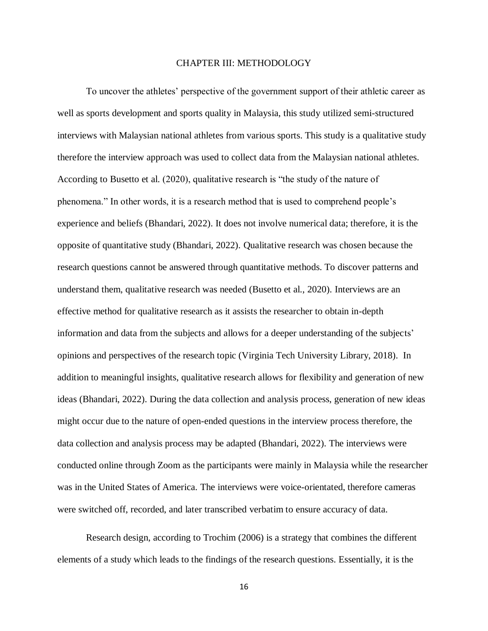#### CHAPTER III: METHODOLOGY

To uncover the athletes' perspective of the government support of their athletic career as well as sports development and sports quality in Malaysia, this study utilized semi-structured interviews with Malaysian national athletes from various sports. This study is a qualitative study therefore the interview approach was used to collect data from the Malaysian national athletes. According to Busetto et al. (2020), qualitative research is "the study of the nature of phenomena." In other words, it is a research method that is used to comprehend people's experience and beliefs (Bhandari, 2022). It does not involve numerical data; therefore, it is the opposite of quantitative study (Bhandari, 2022). Qualitative research was chosen because the research questions cannot be answered through quantitative methods. To discover patterns and understand them, qualitative research was needed (Busetto et al., 2020). Interviews are an effective method for qualitative research as it assists the researcher to obtain in-depth information and data from the subjects and allows for a deeper understanding of the subjects' opinions and perspectives of the research topic (Virginia Tech University Library, 2018). In addition to meaningful insights, qualitative research allows for flexibility and generation of new ideas (Bhandari, 2022). During the data collection and analysis process, generation of new ideas might occur due to the nature of open-ended questions in the interview process therefore, the data collection and analysis process may be adapted (Bhandari, 2022). The interviews were conducted online through Zoom as the participants were mainly in Malaysia while the researcher was in the United States of America. The interviews were voice-orientated, therefore cameras were switched off, recorded, and later transcribed verbatim to ensure accuracy of data.

Research design, according to Trochim (2006) is a strategy that combines the different elements of a study which leads to the findings of the research questions. Essentially, it is the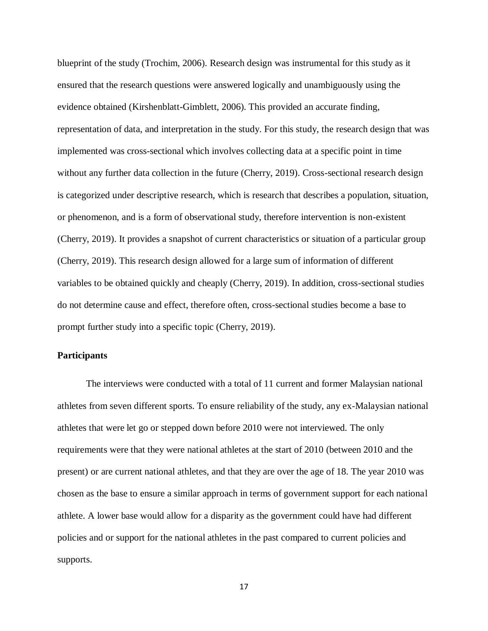blueprint of the study (Trochim, 2006). Research design was instrumental for this study as it ensured that the research questions were answered logically and unambiguously using the evidence obtained (Kirshenblatt-Gimblett, 2006). This provided an accurate finding, representation of data, and interpretation in the study. For this study, the research design that was implemented was cross-sectional which involves collecting data at a specific point in time without any further data collection in the future (Cherry, 2019). Cross-sectional research design is categorized under descriptive research, which is research that describes a population, situation, or phenomenon, and is a form of observational study, therefore intervention is non-existent (Cherry, 2019). It provides a snapshot of current characteristics or situation of a particular group (Cherry, 2019). This research design allowed for a large sum of information of different variables to be obtained quickly and cheaply (Cherry, 2019). In addition, cross-sectional studies do not determine cause and effect, therefore often, cross-sectional studies become a base to prompt further study into a specific topic (Cherry, 2019).

#### **Participants**

The interviews were conducted with a total of 11 current and former Malaysian national athletes from seven different sports. To ensure reliability of the study, any ex-Malaysian national athletes that were let go or stepped down before 2010 were not interviewed. The only requirements were that they were national athletes at the start of 2010 (between 2010 and the present) or are current national athletes, and that they are over the age of 18. The year 2010 was chosen as the base to ensure a similar approach in terms of government support for each national athlete. A lower base would allow for a disparity as the government could have had different policies and or support for the national athletes in the past compared to current policies and supports.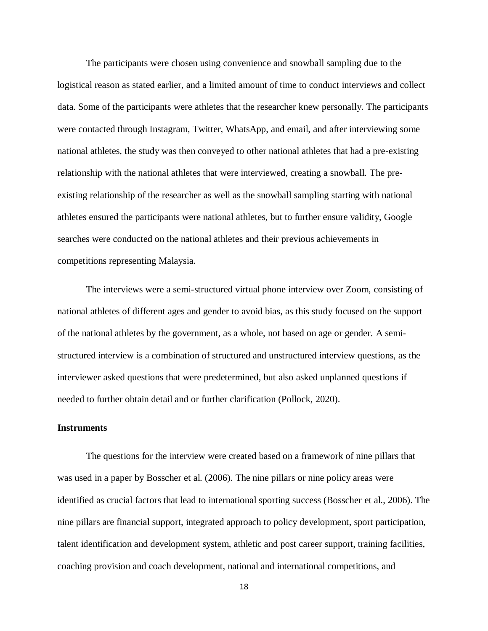The participants were chosen using convenience and snowball sampling due to the logistical reason as stated earlier, and a limited amount of time to conduct interviews and collect data. Some of the participants were athletes that the researcher knew personally. The participants were contacted through Instagram, Twitter, WhatsApp, and email, and after interviewing some national athletes, the study was then conveyed to other national athletes that had a pre-existing relationship with the national athletes that were interviewed, creating a snowball. The preexisting relationship of the researcher as well as the snowball sampling starting with national athletes ensured the participants were national athletes, but to further ensure validity, Google searches were conducted on the national athletes and their previous achievements in competitions representing Malaysia.

The interviews were a semi-structured virtual phone interview over Zoom, consisting of national athletes of different ages and gender to avoid bias, as this study focused on the support of the national athletes by the government, as a whole, not based on age or gender. A semistructured interview is a combination of structured and unstructured interview questions, as the interviewer asked questions that were predetermined, but also asked unplanned questions if needed to further obtain detail and or further clarification (Pollock, 2020).

#### **Instruments**

The questions for the interview were created based on a framework of nine pillars that was used in a paper by Bosscher et al. (2006). The nine pillars or nine policy areas were identified as crucial factors that lead to international sporting success (Bosscher et al., 2006). The nine pillars are financial support, integrated approach to policy development, sport participation, talent identification and development system, athletic and post career support, training facilities, coaching provision and coach development, national and international competitions, and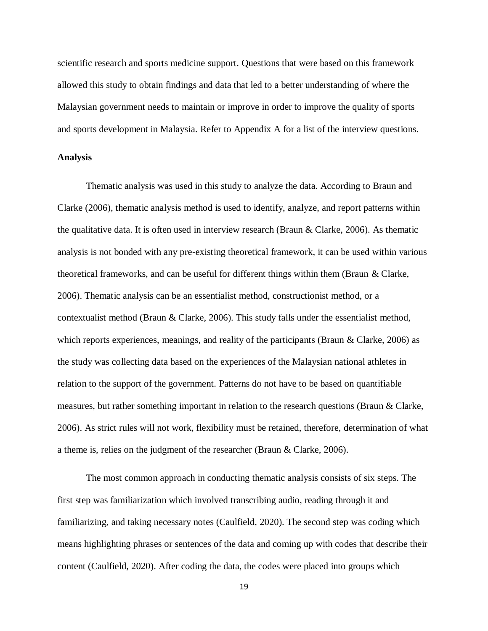scientific research and sports medicine support. Questions that were based on this framework allowed this study to obtain findings and data that led to a better understanding of where the Malaysian government needs to maintain or improve in order to improve the quality of sports and sports development in Malaysia. Refer to Appendix A for a list of the interview questions.

#### **Analysis**

Thematic analysis was used in this study to analyze the data. According to Braun and Clarke (2006), thematic analysis method is used to identify, analyze, and report patterns within the qualitative data. It is often used in interview research (Braun & Clarke, 2006). As thematic analysis is not bonded with any pre-existing theoretical framework, it can be used within various theoretical frameworks, and can be useful for different things within them (Braun & Clarke, 2006). Thematic analysis can be an essentialist method, constructionist method, or a contextualist method (Braun & Clarke, 2006). This study falls under the essentialist method, which reports experiences, meanings, and reality of the participants (Braun & Clarke, 2006) as the study was collecting data based on the experiences of the Malaysian national athletes in relation to the support of the government. Patterns do not have to be based on quantifiable measures, but rather something important in relation to the research questions (Braun & Clarke, 2006). As strict rules will not work, flexibility must be retained, therefore, determination of what a theme is, relies on the judgment of the researcher (Braun & Clarke, 2006).

The most common approach in conducting thematic analysis consists of six steps. The first step was familiarization which involved transcribing audio, reading through it and familiarizing, and taking necessary notes (Caulfield, 2020). The second step was coding which means highlighting phrases or sentences of the data and coming up with codes that describe their content (Caulfield, 2020). After coding the data, the codes were placed into groups which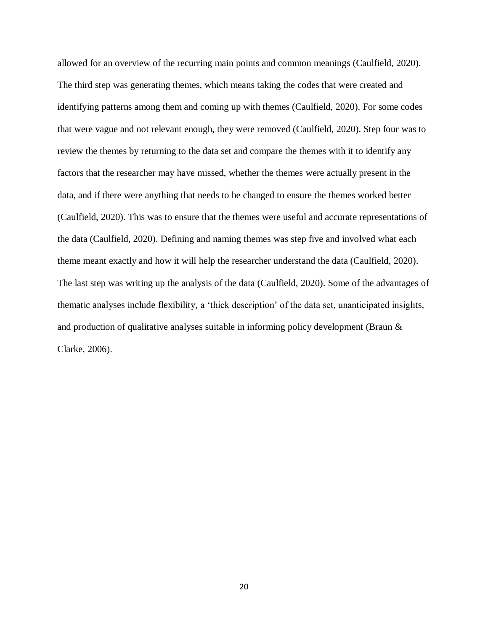allowed for an overview of the recurring main points and common meanings (Caulfield, 2020). The third step was generating themes, which means taking the codes that were created and identifying patterns among them and coming up with themes (Caulfield, 2020). For some codes that were vague and not relevant enough, they were removed (Caulfield, 2020). Step four was to review the themes by returning to the data set and compare the themes with it to identify any factors that the researcher may have missed, whether the themes were actually present in the data, and if there were anything that needs to be changed to ensure the themes worked better (Caulfield, 2020). This was to ensure that the themes were useful and accurate representations of the data (Caulfield, 2020). Defining and naming themes was step five and involved what each theme meant exactly and how it will help the researcher understand the data (Caulfield, 2020). The last step was writing up the analysis of the data (Caulfield, 2020). Some of the advantages of thematic analyses include flexibility, a 'thick description' of the data set, unanticipated insights, and production of qualitative analyses suitable in informing policy development (Braun & Clarke, 2006).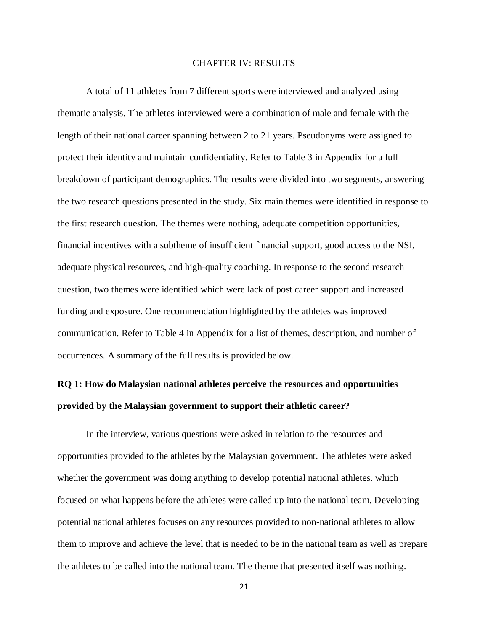#### CHAPTER IV: RESULTS

A total of 11 athletes from 7 different sports were interviewed and analyzed using thematic analysis. The athletes interviewed were a combination of male and female with the length of their national career spanning between 2 to 21 years. Pseudonyms were assigned to protect their identity and maintain confidentiality. Refer to Table 3 in Appendix for a full breakdown of participant demographics. The results were divided into two segments, answering the two research questions presented in the study. Six main themes were identified in response to the first research question. The themes were nothing, adequate competition opportunities, financial incentives with a subtheme of insufficient financial support, good access to the NSI, adequate physical resources, and high-quality coaching. In response to the second research question, two themes were identified which were lack of post career support and increased funding and exposure. One recommendation highlighted by the athletes was improved communication. Refer to Table 4 in Appendix for a list of themes, description, and number of occurrences. A summary of the full results is provided below.

## **RQ 1: How do Malaysian national athletes perceive the resources and opportunities provided by the Malaysian government to support their athletic career?**

In the interview, various questions were asked in relation to the resources and opportunities provided to the athletes by the Malaysian government. The athletes were asked whether the government was doing anything to develop potential national athletes. which focused on what happens before the athletes were called up into the national team. Developing potential national athletes focuses on any resources provided to non-national athletes to allow them to improve and achieve the level that is needed to be in the national team as well as prepare the athletes to be called into the national team. The theme that presented itself was nothing.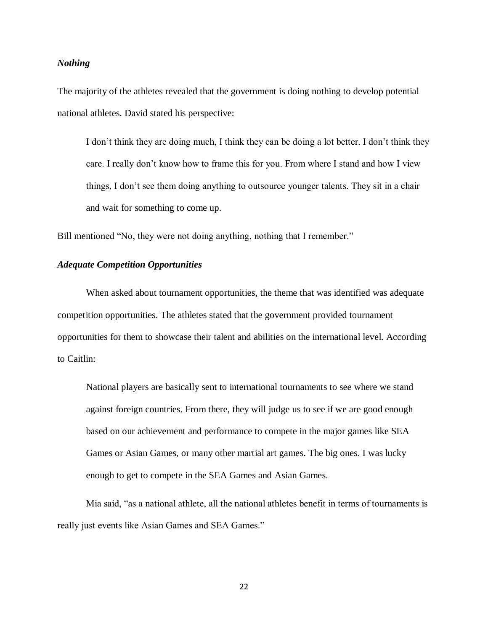#### *Nothing*

The majority of the athletes revealed that the government is doing nothing to develop potential national athletes. David stated his perspective:

I don't think they are doing much, I think they can be doing a lot better. I don't think they care. I really don't know how to frame this for you. From where I stand and how I view things, I don't see them doing anything to outsource younger talents. They sit in a chair and wait for something to come up.

Bill mentioned "No, they were not doing anything, nothing that I remember."

#### *Adequate Competition Opportunities*

When asked about tournament opportunities, the theme that was identified was adequate competition opportunities. The athletes stated that the government provided tournament opportunities for them to showcase their talent and abilities on the international level. According to Caitlin:

National players are basically sent to international tournaments to see where we stand against foreign countries. From there, they will judge us to see if we are good enough based on our achievement and performance to compete in the major games like SEA Games or Asian Games, or many other martial art games. The big ones. I was lucky enough to get to compete in the SEA Games and Asian Games.

Mia said, "as a national athlete, all the national athletes benefit in terms of tournaments is really just events like Asian Games and SEA Games."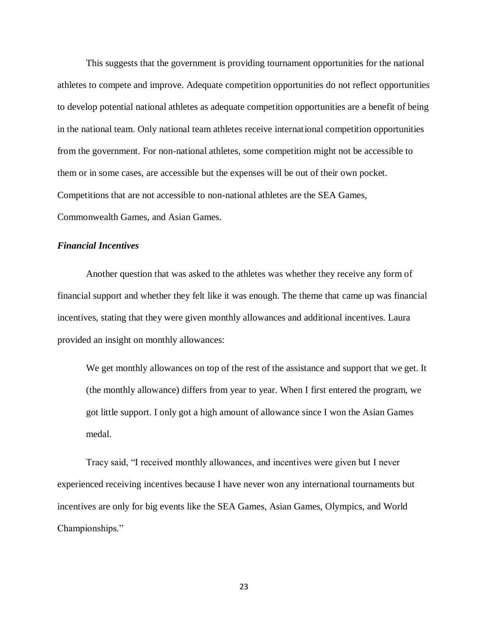This suggests that the government is providing tournament opportunities for the national athletes to compete and improve. Adequate competition opportunities do not reflect opportunities to develop potential national athletes as adequate competition opportunities are a benefit of being in the national team. Only national team athletes receive international competition opportunities from the government. For non-national athletes, some competition might not be accessible to them or in some cases, are accessible but the expenses will be out of their own pocket. Competitions that are not accessible to non-national athletes are the SEA Games, Commonwealth Games, and Asian Games.

#### *Financial Incentives*

Another question that was asked to the athletes was whether they receive any form of financial support and whether they felt like it was enough. The theme that came up was financial incentives, stating that they were given monthly allowances and additional incentives. Laura provided an insight on monthly allowances:

We get monthly allowances on top of the rest of the assistance and support that we get. It (the monthly allowance) differs from year to year. When I first entered the program, we got little support. I only got a high amount of allowance since I won the Asian Games medal.

Tracy said, "I received monthly allowances, and incentives were given but I never experienced receiving incentives because I have never won any international tournaments but incentives are only for big events like the SEA Games, Asian Games, Olympics, and World Championships."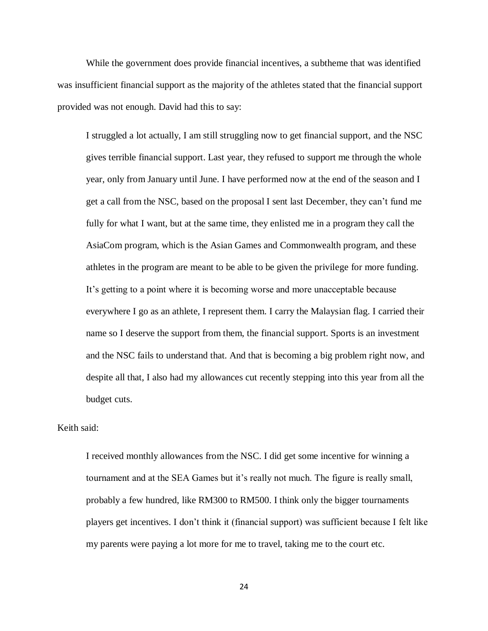While the government does provide financial incentives, a subtheme that was identified was insufficient financial support as the majority of the athletes stated that the financial support provided was not enough. David had this to say:

I struggled a lot actually, I am still struggling now to get financial support, and the NSC gives terrible financial support. Last year, they refused to support me through the whole year, only from January until June. I have performed now at the end of the season and I get a call from the NSC, based on the proposal I sent last December, they can't fund me fully for what I want, but at the same time, they enlisted me in a program they call the AsiaCom program, which is the Asian Games and Commonwealth program, and these athletes in the program are meant to be able to be given the privilege for more funding. It's getting to a point where it is becoming worse and more unacceptable because everywhere I go as an athlete, I represent them. I carry the Malaysian flag. I carried their name so I deserve the support from them, the financial support. Sports is an investment and the NSC fails to understand that. And that is becoming a big problem right now, and despite all that, I also had my allowances cut recently stepping into this year from all the budget cuts.

#### Keith said:

I received monthly allowances from the NSC. I did get some incentive for winning a tournament and at the SEA Games but it's really not much. The figure is really small, probably a few hundred, like RM300 to RM500. I think only the bigger tournaments players get incentives. I don't think it (financial support) was sufficient because I felt like my parents were paying a lot more for me to travel, taking me to the court etc.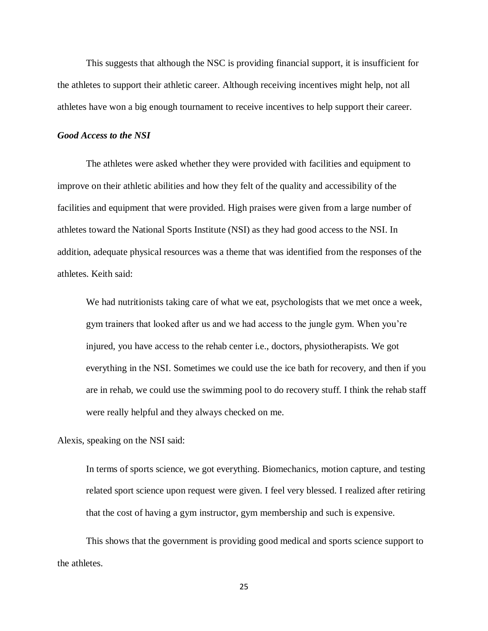This suggests that although the NSC is providing financial support, it is insufficient for the athletes to support their athletic career. Although receiving incentives might help, not all athletes have won a big enough tournament to receive incentives to help support their career.

#### *Good Access to the NSI*

The athletes were asked whether they were provided with facilities and equipment to improve on their athletic abilities and how they felt of the quality and accessibility of the facilities and equipment that were provided. High praises were given from a large number of athletes toward the National Sports Institute (NSI) as they had good access to the NSI. In addition, adequate physical resources was a theme that was identified from the responses of the athletes. Keith said:

We had nutritionists taking care of what we eat, psychologists that we met once a week, gym trainers that looked after us and we had access to the jungle gym. When you're injured, you have access to the rehab center i.e., doctors, physiotherapists. We got everything in the NSI. Sometimes we could use the ice bath for recovery, and then if you are in rehab, we could use the swimming pool to do recovery stuff. I think the rehab staff were really helpful and they always checked on me.

Alexis, speaking on the NSI said:

In terms of sports science, we got everything. Biomechanics, motion capture, and testing related sport science upon request were given. I feel very blessed. I realized after retiring that the cost of having a gym instructor, gym membership and such is expensive.

This shows that the government is providing good medical and sports science support to the athletes.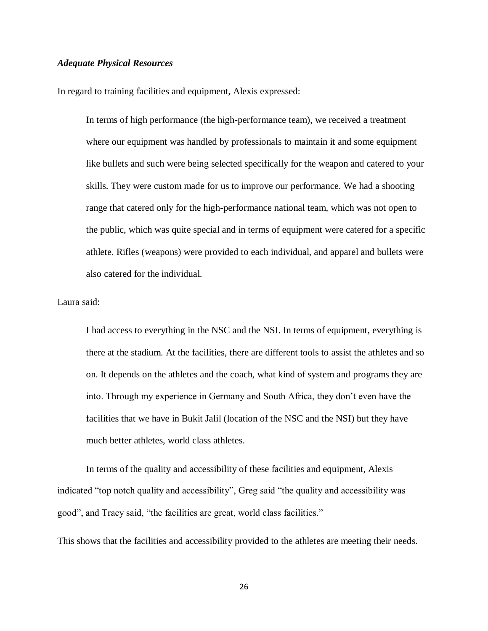#### *Adequate Physical Resources*

In regard to training facilities and equipment, Alexis expressed:

In terms of high performance (the high-performance team), we received a treatment where our equipment was handled by professionals to maintain it and some equipment like bullets and such were being selected specifically for the weapon and catered to your skills. They were custom made for us to improve our performance. We had a shooting range that catered only for the high-performance national team, which was not open to the public, which was quite special and in terms of equipment were catered for a specific athlete. Rifles (weapons) were provided to each individual, and apparel and bullets were also catered for the individual.

Laura said:

I had access to everything in the NSC and the NSI. In terms of equipment, everything is there at the stadium. At the facilities, there are different tools to assist the athletes and so on. It depends on the athletes and the coach, what kind of system and programs they are into. Through my experience in Germany and South Africa, they don't even have the facilities that we have in Bukit Jalil (location of the NSC and the NSI) but they have much better athletes, world class athletes.

In terms of the quality and accessibility of these facilities and equipment, Alexis indicated "top notch quality and accessibility", Greg said "the quality and accessibility was good", and Tracy said, "the facilities are great, world class facilities."

This shows that the facilities and accessibility provided to the athletes are meeting their needs.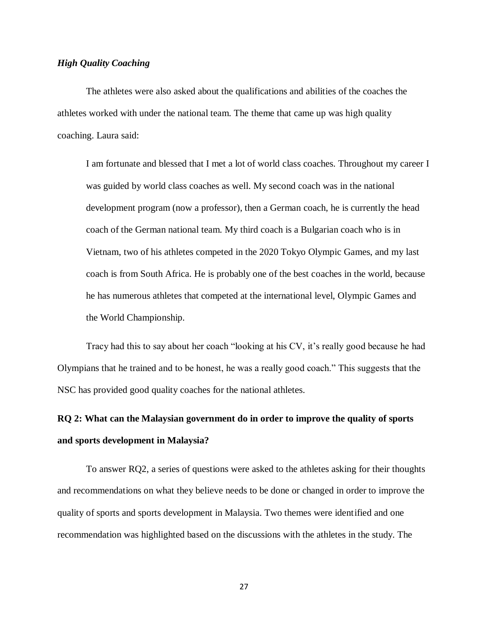#### *High Quality Coaching*

The athletes were also asked about the qualifications and abilities of the coaches the athletes worked with under the national team. The theme that came up was high quality coaching. Laura said:

I am fortunate and blessed that I met a lot of world class coaches. Throughout my career I was guided by world class coaches as well. My second coach was in the national development program (now a professor), then a German coach, he is currently the head coach of the German national team. My third coach is a Bulgarian coach who is in Vietnam, two of his athletes competed in the 2020 Tokyo Olympic Games, and my last coach is from South Africa. He is probably one of the best coaches in the world, because he has numerous athletes that competed at the international level, Olympic Games and the World Championship.

Tracy had this to say about her coach "looking at his CV, it's really good because he had Olympians that he trained and to be honest, he was a really good coach." This suggests that the NSC has provided good quality coaches for the national athletes.

## **RQ 2: What can the Malaysian government do in order to improve the quality of sports and sports development in Malaysia?**

To answer RQ2, a series of questions were asked to the athletes asking for their thoughts and recommendations on what they believe needs to be done or changed in order to improve the quality of sports and sports development in Malaysia. Two themes were identified and one recommendation was highlighted based on the discussions with the athletes in the study. The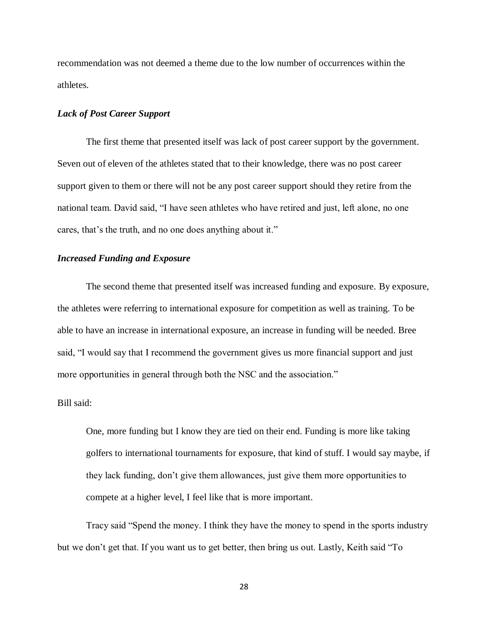recommendation was not deemed a theme due to the low number of occurrences within the athletes.

#### *Lack of Post Career Support*

The first theme that presented itself was lack of post career support by the government. Seven out of eleven of the athletes stated that to their knowledge, there was no post career support given to them or there will not be any post career support should they retire from the national team. David said, "I have seen athletes who have retired and just, left alone, no one cares, that's the truth, and no one does anything about it."

#### *Increased Funding and Exposure*

The second theme that presented itself was increased funding and exposure. By exposure, the athletes were referring to international exposure for competition as well as training. To be able to have an increase in international exposure, an increase in funding will be needed. Bree said, "I would say that I recommend the government gives us more financial support and just more opportunities in general through both the NSC and the association."

#### Bill said:

One, more funding but I know they are tied on their end. Funding is more like taking golfers to international tournaments for exposure, that kind of stuff. I would say maybe, if they lack funding, don't give them allowances, just give them more opportunities to compete at a higher level, I feel like that is more important.

Tracy said "Spend the money. I think they have the money to spend in the sports industry but we don't get that. If you want us to get better, then bring us out. Lastly, Keith said "To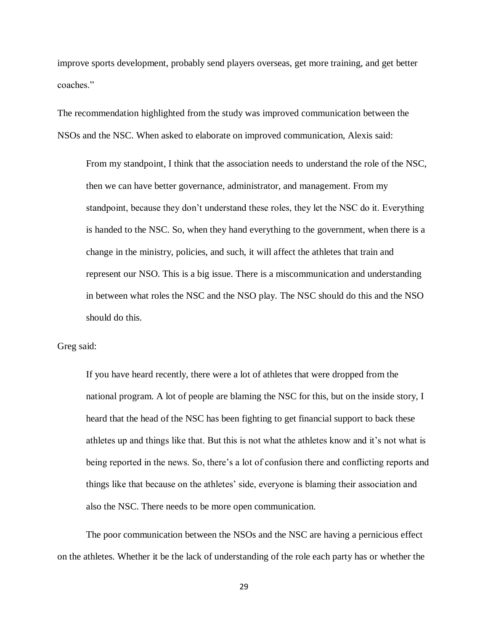improve sports development, probably send players overseas, get more training, and get better coaches."

The recommendation highlighted from the study was improved communication between the NSOs and the NSC. When asked to elaborate on improved communication, Alexis said:

From my standpoint, I think that the association needs to understand the role of the NSC, then we can have better governance, administrator, and management. From my standpoint, because they don't understand these roles, they let the NSC do it. Everything is handed to the NSC. So, when they hand everything to the government, when there is a change in the ministry, policies, and such, it will affect the athletes that train and represent our NSO. This is a big issue. There is a miscommunication and understanding in between what roles the NSC and the NSO play. The NSC should do this and the NSO should do this.

Greg said:

If you have heard recently, there were a lot of athletes that were dropped from the national program. A lot of people are blaming the NSC for this, but on the inside story, I heard that the head of the NSC has been fighting to get financial support to back these athletes up and things like that. But this is not what the athletes know and it's not what is being reported in the news. So, there's a lot of confusion there and conflicting reports and things like that because on the athletes' side, everyone is blaming their association and also the NSC. There needs to be more open communication.

The poor communication between the NSOs and the NSC are having a pernicious effect on the athletes. Whether it be the lack of understanding of the role each party has or whether the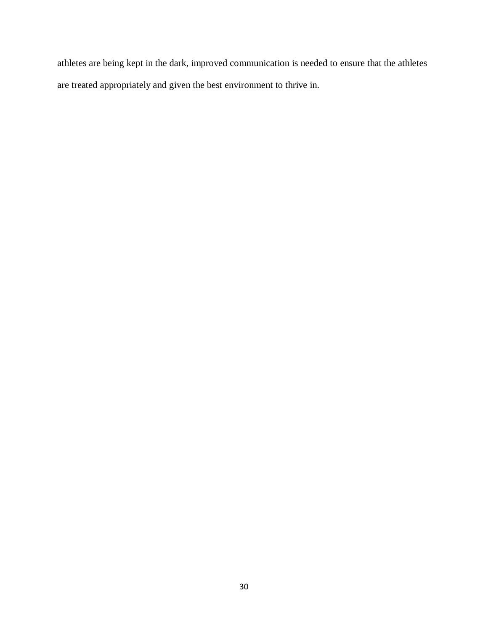athletes are being kept in the dark, improved communication is needed to ensure that the athletes are treated appropriately and given the best environment to thrive in.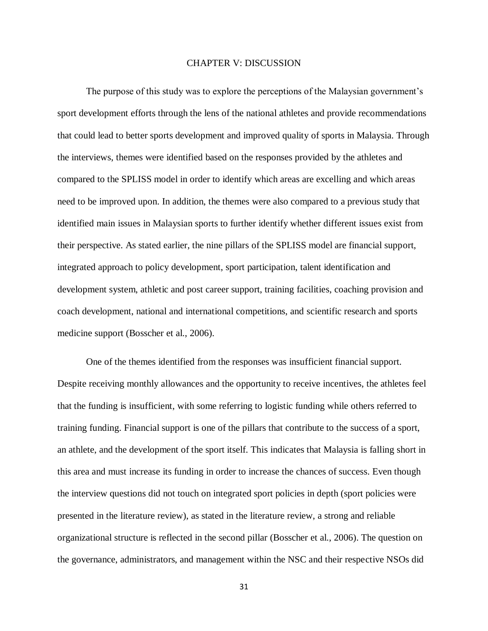#### CHAPTER V: DISCUSSION

The purpose of this study was to explore the perceptions of the Malaysian government's sport development efforts through the lens of the national athletes and provide recommendations that could lead to better sports development and improved quality of sports in Malaysia. Through the interviews, themes were identified based on the responses provided by the athletes and compared to the SPLISS model in order to identify which areas are excelling and which areas need to be improved upon. In addition, the themes were also compared to a previous study that identified main issues in Malaysian sports to further identify whether different issues exist from their perspective. As stated earlier, the nine pillars of the SPLISS model are financial support, integrated approach to policy development, sport participation, talent identification and development system, athletic and post career support, training facilities, coaching provision and coach development, national and international competitions, and scientific research and sports medicine support (Bosscher et al., 2006).

One of the themes identified from the responses was insufficient financial support. Despite receiving monthly allowances and the opportunity to receive incentives, the athletes feel that the funding is insufficient, with some referring to logistic funding while others referred to training funding. Financial support is one of the pillars that contribute to the success of a sport, an athlete, and the development of the sport itself. This indicates that Malaysia is falling short in this area and must increase its funding in order to increase the chances of success. Even though the interview questions did not touch on integrated sport policies in depth (sport policies were presented in the literature review), as stated in the literature review, a strong and reliable organizational structure is reflected in the second pillar (Bosscher et al., 2006). The question on the governance, administrators, and management within the NSC and their respective NSOs did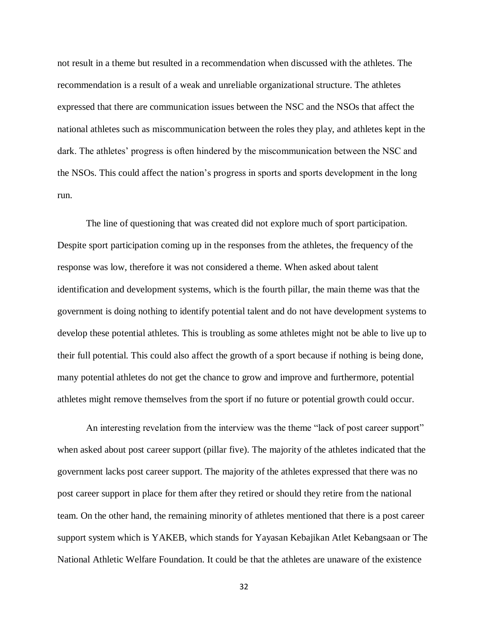not result in a theme but resulted in a recommendation when discussed with the athletes. The recommendation is a result of a weak and unreliable organizational structure. The athletes expressed that there are communication issues between the NSC and the NSOs that affect the national athletes such as miscommunication between the roles they play, and athletes kept in the dark. The athletes' progress is often hindered by the miscommunication between the NSC and the NSOs. This could affect the nation's progress in sports and sports development in the long run.

The line of questioning that was created did not explore much of sport participation. Despite sport participation coming up in the responses from the athletes, the frequency of the response was low, therefore it was not considered a theme. When asked about talent identification and development systems, which is the fourth pillar, the main theme was that the government is doing nothing to identify potential talent and do not have development systems to develop these potential athletes. This is troubling as some athletes might not be able to live up to their full potential. This could also affect the growth of a sport because if nothing is being done, many potential athletes do not get the chance to grow and improve and furthermore, potential athletes might remove themselves from the sport if no future or potential growth could occur.

An interesting revelation from the interview was the theme "lack of post career support" when asked about post career support (pillar five). The majority of the athletes indicated that the government lacks post career support. The majority of the athletes expressed that there was no post career support in place for them after they retired or should they retire from the national team. On the other hand, the remaining minority of athletes mentioned that there is a post career support system which is YAKEB, which stands for Yayasan Kebajikan Atlet Kebangsaan or The National Athletic Welfare Foundation. It could be that the athletes are unaware of the existence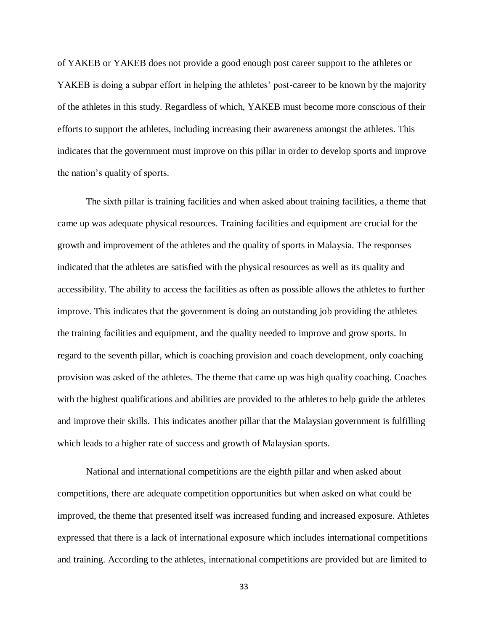of YAKEB or YAKEB does not provide a good enough post career support to the athletes or YAKEB is doing a subpar effort in helping the athletes' post-career to be known by the majority of the athletes in this study. Regardless of which, YAKEB must become more conscious of their efforts to support the athletes, including increasing their awareness amongst the athletes. This indicates that the government must improve on this pillar in order to develop sports and improve the nation's quality of sports.

The sixth pillar is training facilities and when asked about training facilities, a theme that came up was adequate physical resources. Training facilities and equipment are crucial for the growth and improvement of the athletes and the quality of sports in Malaysia. The responses indicated that the athletes are satisfied with the physical resources as well as its quality and accessibility. The ability to access the facilities as often as possible allows the athletes to further improve. This indicates that the government is doing an outstanding job providing the athletes the training facilities and equipment, and the quality needed to improve and grow sports. In regard to the seventh pillar, which is coaching provision and coach development, only coaching provision was asked of the athletes. The theme that came up was high quality coaching. Coaches with the highest qualifications and abilities are provided to the athletes to help guide the athletes and improve their skills. This indicates another pillar that the Malaysian government is fulfilling which leads to a higher rate of success and growth of Malaysian sports.

National and international competitions are the eighth pillar and when asked about competitions, there are adequate competition opportunities but when asked on what could be improved, the theme that presented itself was increased funding and increased exposure. Athletes expressed that there is a lack of international exposure which includes international competitions and training. According to the athletes, international competitions are provided but are limited to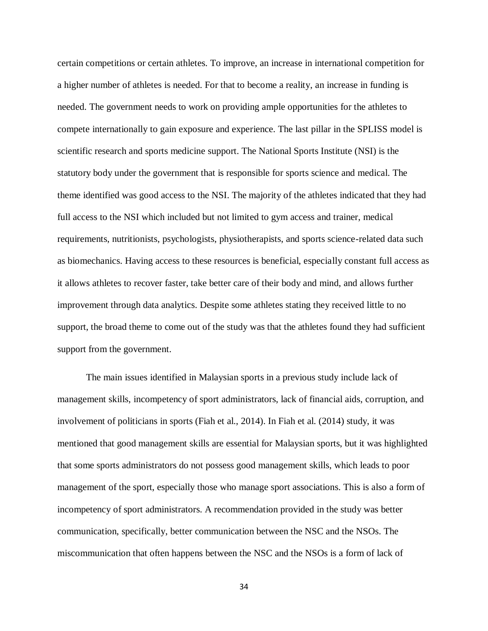certain competitions or certain athletes. To improve, an increase in international competition for a higher number of athletes is needed. For that to become a reality, an increase in funding is needed. The government needs to work on providing ample opportunities for the athletes to compete internationally to gain exposure and experience. The last pillar in the SPLISS model is scientific research and sports medicine support. The National Sports Institute (NSI) is the statutory body under the government that is responsible for sports science and medical. The theme identified was good access to the NSI. The majority of the athletes indicated that they had full access to the NSI which included but not limited to gym access and trainer, medical requirements, nutritionists, psychologists, physiotherapists, and sports science-related data such as biomechanics. Having access to these resources is beneficial, especially constant full access as it allows athletes to recover faster, take better care of their body and mind, and allows further improvement through data analytics. Despite some athletes stating they received little to no support, the broad theme to come out of the study was that the athletes found they had sufficient support from the government.

The main issues identified in Malaysian sports in a previous study include lack of management skills, incompetency of sport administrators, lack of financial aids, corruption, and involvement of politicians in sports (Fiah et al., 2014). In Fiah et al. (2014) study, it was mentioned that good management skills are essential for Malaysian sports, but it was highlighted that some sports administrators do not possess good management skills, which leads to poor management of the sport, especially those who manage sport associations. This is also a form of incompetency of sport administrators. A recommendation provided in the study was better communication, specifically, better communication between the NSC and the NSOs. The miscommunication that often happens between the NSC and the NSOs is a form of lack of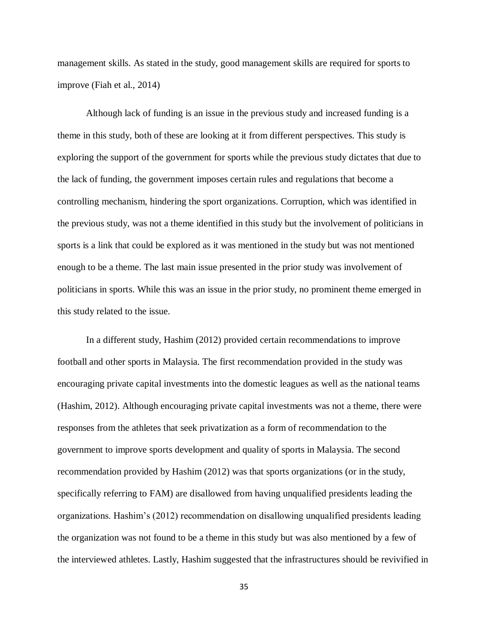management skills. As stated in the study, good management skills are required for sports to improve (Fiah et al., 2014)

Although lack of funding is an issue in the previous study and increased funding is a theme in this study, both of these are looking at it from different perspectives. This study is exploring the support of the government for sports while the previous study dictates that due to the lack of funding, the government imposes certain rules and regulations that become a controlling mechanism, hindering the sport organizations. Corruption, which was identified in the previous study, was not a theme identified in this study but the involvement of politicians in sports is a link that could be explored as it was mentioned in the study but was not mentioned enough to be a theme. The last main issue presented in the prior study was involvement of politicians in sports. While this was an issue in the prior study, no prominent theme emerged in this study related to the issue.

In a different study, Hashim (2012) provided certain recommendations to improve football and other sports in Malaysia. The first recommendation provided in the study was encouraging private capital investments into the domestic leagues as well as the national teams (Hashim, 2012). Although encouraging private capital investments was not a theme, there were responses from the athletes that seek privatization as a form of recommendation to the government to improve sports development and quality of sports in Malaysia. The second recommendation provided by Hashim (2012) was that sports organizations (or in the study, specifically referring to FAM) are disallowed from having unqualified presidents leading the organizations. Hashim's (2012) recommendation on disallowing unqualified presidents leading the organization was not found to be a theme in this study but was also mentioned by a few of the interviewed athletes. Lastly, Hashim suggested that the infrastructures should be revivified in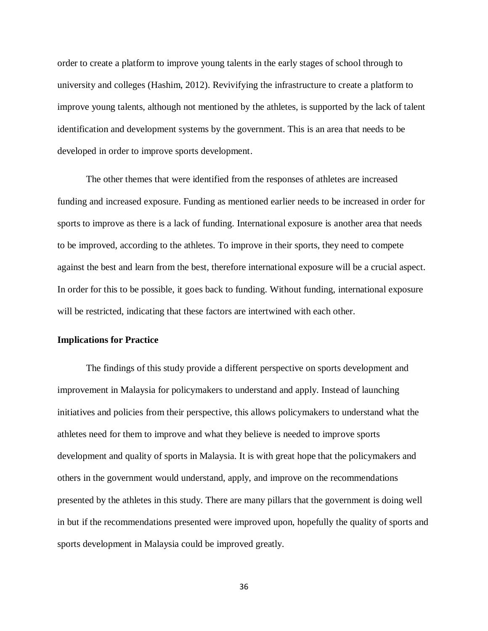order to create a platform to improve young talents in the early stages of school through to university and colleges (Hashim, 2012). Revivifying the infrastructure to create a platform to improve young talents, although not mentioned by the athletes, is supported by the lack of talent identification and development systems by the government. This is an area that needs to be developed in order to improve sports development.

The other themes that were identified from the responses of athletes are increased funding and increased exposure. Funding as mentioned earlier needs to be increased in order for sports to improve as there is a lack of funding. International exposure is another area that needs to be improved, according to the athletes. To improve in their sports, they need to compete against the best and learn from the best, therefore international exposure will be a crucial aspect. In order for this to be possible, it goes back to funding. Without funding, international exposure will be restricted, indicating that these factors are intertwined with each other.

#### **Implications for Practice**

The findings of this study provide a different perspective on sports development and improvement in Malaysia for policymakers to understand and apply. Instead of launching initiatives and policies from their perspective, this allows policymakers to understand what the athletes need for them to improve and what they believe is needed to improve sports development and quality of sports in Malaysia. It is with great hope that the policymakers and others in the government would understand, apply, and improve on the recommendations presented by the athletes in this study. There are many pillars that the government is doing well in but if the recommendations presented were improved upon, hopefully the quality of sports and sports development in Malaysia could be improved greatly.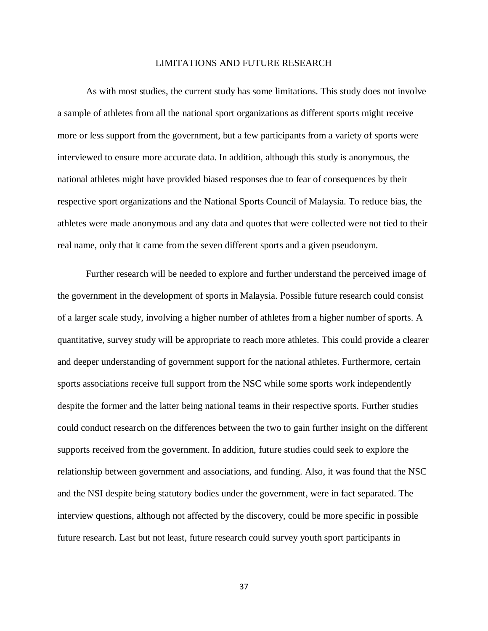#### LIMITATIONS AND FUTURE RESEARCH

As with most studies, the current study has some limitations. This study does not involve a sample of athletes from all the national sport organizations as different sports might receive more or less support from the government, but a few participants from a variety of sports were interviewed to ensure more accurate data. In addition, although this study is anonymous, the national athletes might have provided biased responses due to fear of consequences by their respective sport organizations and the National Sports Council of Malaysia. To reduce bias, the athletes were made anonymous and any data and quotes that were collected were not tied to their real name, only that it came from the seven different sports and a given pseudonym.

Further research will be needed to explore and further understand the perceived image of the government in the development of sports in Malaysia. Possible future research could consist of a larger scale study, involving a higher number of athletes from a higher number of sports. A quantitative, survey study will be appropriate to reach more athletes. This could provide a clearer and deeper understanding of government support for the national athletes. Furthermore, certain sports associations receive full support from the NSC while some sports work independently despite the former and the latter being national teams in their respective sports. Further studies could conduct research on the differences between the two to gain further insight on the different supports received from the government. In addition, future studies could seek to explore the relationship between government and associations, and funding. Also, it was found that the NSC and the NSI despite being statutory bodies under the government, were in fact separated. The interview questions, although not affected by the discovery, could be more specific in possible future research. Last but not least, future research could survey youth sport participants in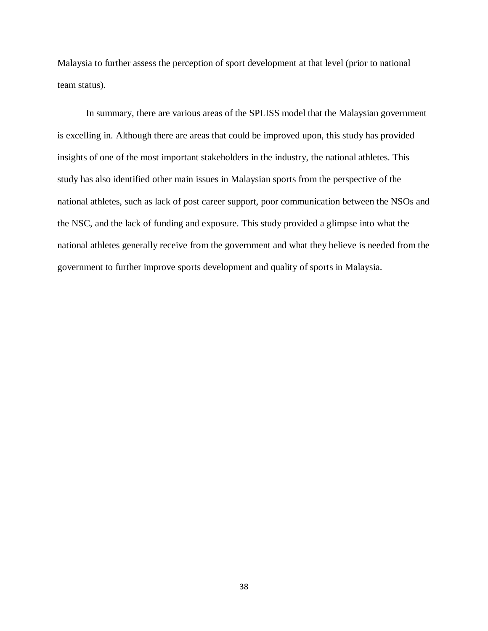Malaysia to further assess the perception of sport development at that level (prior to national team status).

In summary, there are various areas of the SPLISS model that the Malaysian government is excelling in. Although there are areas that could be improved upon, this study has provided insights of one of the most important stakeholders in the industry, the national athletes. This study has also identified other main issues in Malaysian sports from the perspective of the national athletes, such as lack of post career support, poor communication between the NSOs and the NSC, and the lack of funding and exposure. This study provided a glimpse into what the national athletes generally receive from the government and what they believe is needed from the government to further improve sports development and quality of sports in Malaysia.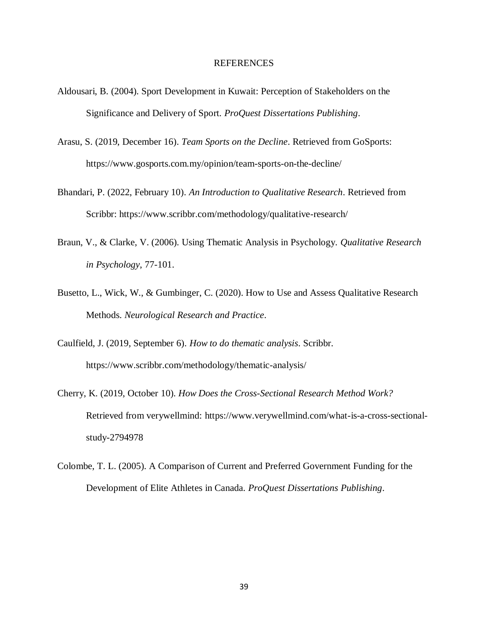#### REFERENCES

- Aldousari, B. (2004). Sport Development in Kuwait: Perception of Stakeholders on the Significance and Delivery of Sport. *ProQuest Dissertations Publishing*.
- Arasu, S. (2019, December 16). *Team Sports on the Decline*. Retrieved from GoSports: <https://www.gosports.com.my/opinion/team-sports-on-the-decline/>
- Bhandari, P. (2022, February 10). *An Introduction to Qualitative Research*. Retrieved from Scribbr:<https://www.scribbr.com/methodology/qualitative-research/>
- Braun, V., & Clarke, V. (2006). Using Thematic Analysis in Psychology. *Qualitative Research in Psychology*, 77-101.
- Busetto, L., Wick, W., & Gumbinger, C. (2020). How to Use and Assess Qualitative Research Methods. *Neurological Research and Practice*.
- Caulfield, J. (2019, September 6). *How to do thematic analysis*. Scribbr. https://www.scribbr.com/methodology/thematic-analysis/
- Cherry, K. (2019, October 10). *How Does the Cross-Sectional Research Method Work?* Retrieved from verywellmind: [https://www.verywellmind.com/what-is-a-cross-sectional](https://www.verywellmind.com/what-is-a-cross-sectional-study-2794978)[study-2794978](https://www.verywellmind.com/what-is-a-cross-sectional-study-2794978)
- Colombe, T. L. (2005). A Comparison of Current and Preferred Government Funding for the Development of Elite Athletes in Canada. *ProQuest Dissertations Publishing*.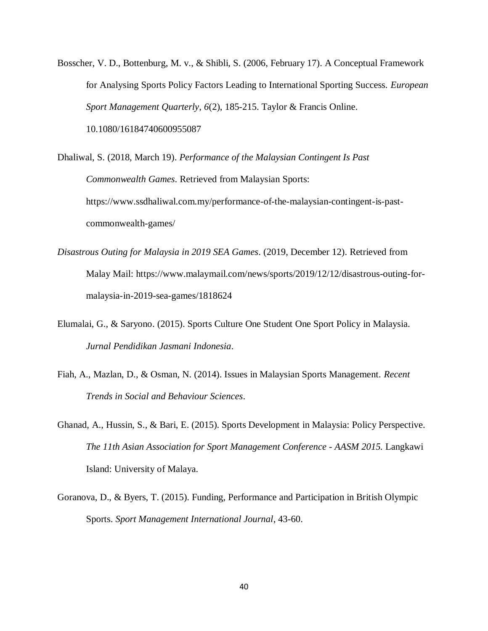Bosscher, V. D., Bottenburg, M. v., & Shibli, S. (2006, February 17). A Conceptual Framework for Analysing Sports Policy Factors Leading to International Sporting Success. *European Sport Management Quarterly*, *6*(2), 185-215. Taylor & Francis Online. 10.1080/16184740600955087

Dhaliwal, S. (2018, March 19). *Performance of the Malaysian Contingent Is Past Commonwealth Games*. Retrieved from Malaysian Sports: [https://www.ssdhaliwal.com.my/performance-of-the-malaysian-contingent-is-past](https://www.ssdhaliwal.com.my/performance-of-the-malaysian-contingent-is-past-commonwealth-games/)[commonwealth-games/](https://www.ssdhaliwal.com.my/performance-of-the-malaysian-contingent-is-past-commonwealth-games/)

- *Disastrous Outing for Malaysia in 2019 SEA Games*. (2019, December 12). Retrieved from Malay Mail: [https://www.malaymail.com/news/sports/2019/12/12/disastrous-outing-for](https://www.malaymail.com/news/sports/2019/12/12/disastrous-outing-for-malaysia-in-2019-sea-games/1818624)[malaysia-in-2019-sea-games/1818624](https://www.malaymail.com/news/sports/2019/12/12/disastrous-outing-for-malaysia-in-2019-sea-games/1818624)
- Elumalai, G., & Saryono. (2015). Sports Culture One Student One Sport Policy in Malaysia. *Jurnal Pendidikan Jasmani Indonesia*.
- Fiah, A., Mazlan, D., & Osman, N. (2014). Issues in Malaysian Sports Management. *Recent Trends in Social and Behaviour Sciences*.
- Ghanad, A., Hussin, S., & Bari, E. (2015). Sports Development in Malaysia: Policy Perspective. *The 11th Asian Association for Sport Management Conference - AASM 2015.* Langkawi Island: University of Malaya.
- Goranova, D., & Byers, T. (2015). Funding, Performance and Participation in British Olympic Sports. *Sport Management International Journal*, 43-60.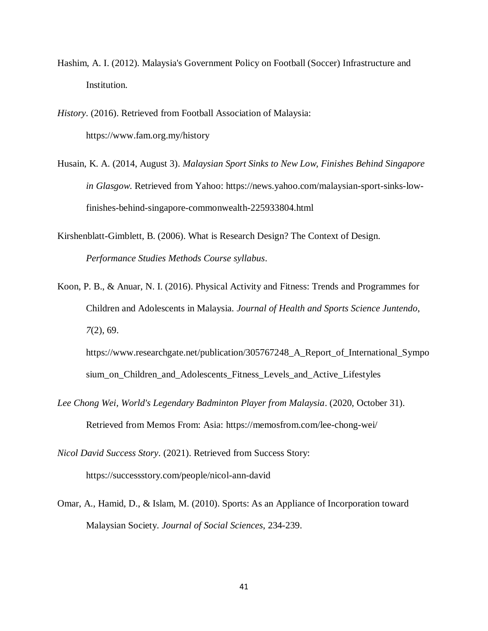- Hashim, A. I. (2012). Malaysia's Government Policy on Football (Soccer) Infrastructure and Institution.
- *History*. (2016). Retrieved from Football Association of Malaysia: <https://www.fam.org.my/history>
- Husain, K. A. (2014, August 3). *Malaysian Sport Sinks to New Low, Finishes Behind Singapore in Glasgow*. Retrieved from Yahoo: [https://news.yahoo.com/malaysian-sport-sinks-low](https://news.yahoo.com/malaysian-sport-sinks-low-finishes-behind-singapore-commonwealth-225933804.html)[finishes-behind-singapore-commonwealth-225933804.html](https://news.yahoo.com/malaysian-sport-sinks-low-finishes-behind-singapore-commonwealth-225933804.html)
- Kirshenblatt-Gimblett, B. (2006). What is Research Design? The Context of Design. *Performance Studies Methods Course syllabus*.
- Koon, P. B., & Anuar, N. I. (2016). Physical Activity and Fitness: Trends and Programmes for Children and Adolescents in Malaysia. *Journal of Health and Sports Science Juntendo*, *7*(2), 69.

https://www.researchgate.net/publication/305767248\_A\_Report\_of\_International\_Sympo sium\_on\_Children\_and\_Adolescents\_Fitness\_Levels\_and\_Active\_Lifestyles

- *Lee Chong Wei, World's Legendary Badminton Player from Malaysia*. (2020, October 31). Retrieved from Memos From: Asia:<https://memosfrom.com/lee-chong-wei/>
- *Nicol David Success Story*. (2021). Retrieved from Success Story: <https://successstory.com/people/nicol-ann-david>
- Omar, A., Hamid, D., & Islam, M. (2010). Sports: As an Appliance of Incorporation toward Malaysian Society. *Journal of Social Sciences*, 234-239.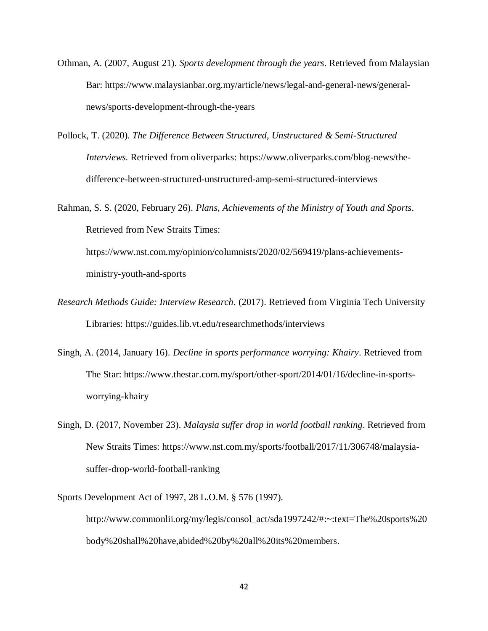- Othman, A. (2007, August 21). *Sports development through the years*. Retrieved from Malaysian Bar: [https://www.malaysianbar.org.my/article/news/legal-and-general-news/general](https://www.malaysianbar.org.my/article/news/legal-and-general-news/general-news/sports-development-through-the-years)[news/sports-development-through-the-years](https://www.malaysianbar.org.my/article/news/legal-and-general-news/general-news/sports-development-through-the-years)
- Pollock, T. (2020). *The Difference Between Structured, Unstructured & Semi-Structured Interviews*. Retrieved from oliverparks: [https://www.oliverparks.com/blog-news/the](https://www.oliverparks.com/blog-news/the-difference-between-structured-unstructured-amp-semi-structured-interviews)[difference-between-structured-unstructured-amp-semi-structured-interviews](https://www.oliverparks.com/blog-news/the-difference-between-structured-unstructured-amp-semi-structured-interviews)
- Rahman, S. S. (2020, February 26). *Plans, Achievements of the Ministry of Youth and Sports*. Retrieved from New Straits Times: [https://www.nst.com.my/opinion/columnists/2020/02/569419/plans-achievements](https://www.nst.com.my/opinion/columnists/2020/02/569419/plans-achievements-ministry-youth-and-sports)[ministry-youth-and-sports](https://www.nst.com.my/opinion/columnists/2020/02/569419/plans-achievements-ministry-youth-and-sports)
- *Research Methods Guide: Interview Research*. (2017). Retrieved from Virginia Tech University Libraries:<https://guides.lib.vt.edu/researchmethods/interviews>
- Singh, A. (2014, January 16). *Decline in sports performance worrying: Khairy*. Retrieved from The Star: [https://www.thestar.com.my/sport/other-sport/2014/01/16/decline-in-sports](https://www.thestar.com.my/sport/other-sport/2014/01/16/decline-in-sports-worrying-khairy)[worrying-khairy](https://www.thestar.com.my/sport/other-sport/2014/01/16/decline-in-sports-worrying-khairy)
- Singh, D. (2017, November 23). *Malaysia suffer drop in world football ranking*. Retrieved from New Straits Times: [https://www.nst.com.my/sports/football/2017/11/306748/malaysia](https://www.nst.com.my/sports/football/2017/11/306748/malaysia-suffer-drop-world-football-ranking)[suffer-drop-world-football-ranking](https://www.nst.com.my/sports/football/2017/11/306748/malaysia-suffer-drop-world-football-ranking)
- Sports Development Act of 1997, 28 L.O.M. § 576 (1997). [http://www.commonlii.org/my/legis/consol\\_act/sda1997242/#:~:text=The%20sports%20](http://www.commonlii.org/my/legis/consol_act/sda1997242/#:~:text=The%20sports%20body%20shall%20have,abided%20by%20all%20its%20members) [body%20shall%20have,abided%20by%20all%20its%20members.](http://www.commonlii.org/my/legis/consol_act/sda1997242/#:~:text=The%20sports%20body%20shall%20have,abided%20by%20all%20its%20members)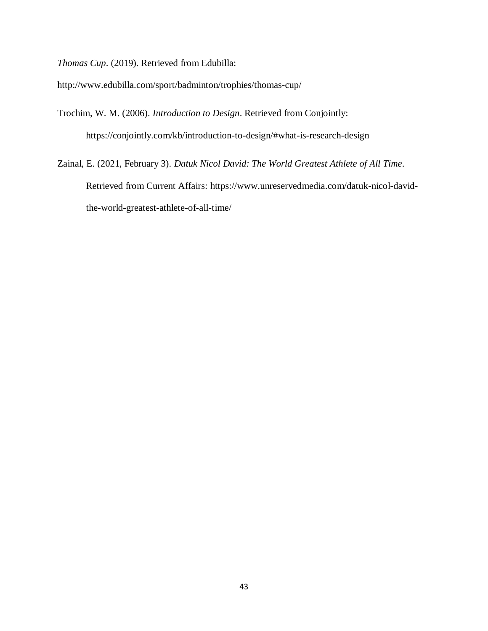*Thomas Cup*. (2019). Retrieved from Edubilla:

<http://www.edubilla.com/sport/badminton/trophies/thomas-cup/>

Trochim, W. M. (2006). *Introduction to Design*. Retrieved from Conjointly: <https://conjointly.com/kb/introduction-to-design/#what-is-research-design>

Zainal, E. (2021, February 3). *Datuk Nicol David: The World Greatest Athlete of All Time*. Retrieved from Current Affairs: [https://www.unreservedmedia.com/datuk-nicol-david](https://www.unreservedmedia.com/datuk-nicol-david-the-world-greatest-athlete-of-all-time/)[the-world-greatest-athlete-of-all-time/](https://www.unreservedmedia.com/datuk-nicol-david-the-world-greatest-athlete-of-all-time/)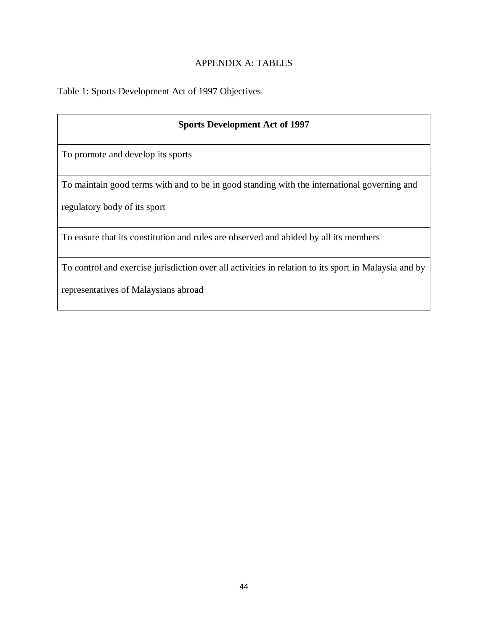### APPENDIX A: TABLES

### Table 1: Sports Development Act of 1997 Objectives

| <b>Sports Development Act of 1997</b>                                                                                       |
|-----------------------------------------------------------------------------------------------------------------------------|
| To promote and develop its sports                                                                                           |
| To maintain good terms with and to be in good standing with the international governing and<br>regulatory body of its sport |
| To ensure that its constitution and rules are observed and abided by all its members                                        |
| To control and exercise jurisdiction over all activities in relation to its sport in Malaysia and by                        |

representatives of Malaysians abroad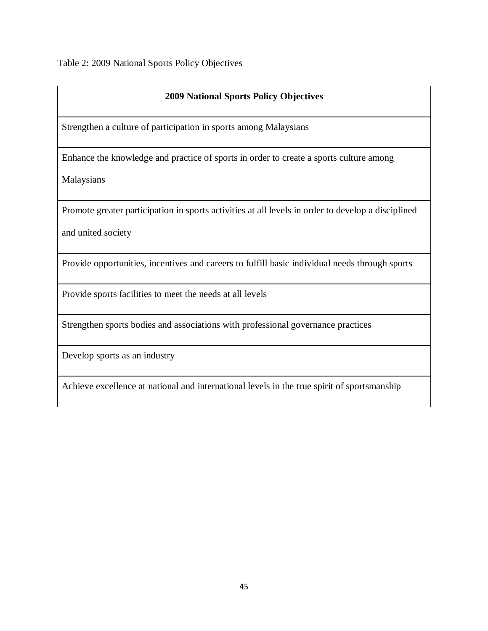Table 2: 2009 National Sports Policy Objectives

### **2009 National Sports Policy Objectives**

Strengthen a culture of participation in sports among Malaysians

Enhance the knowledge and practice of sports in order to create a sports culture among

Malaysians

Promote greater participation in sports activities at all levels in order to develop a disciplined

and united society

Provide opportunities, incentives and careers to fulfill basic individual needs through sports

Provide sports facilities to meet the needs at all levels

Strengthen sports bodies and associations with professional governance practices

Develop sports as an industry

Achieve excellence at national and international levels in the true spirit of sportsmanship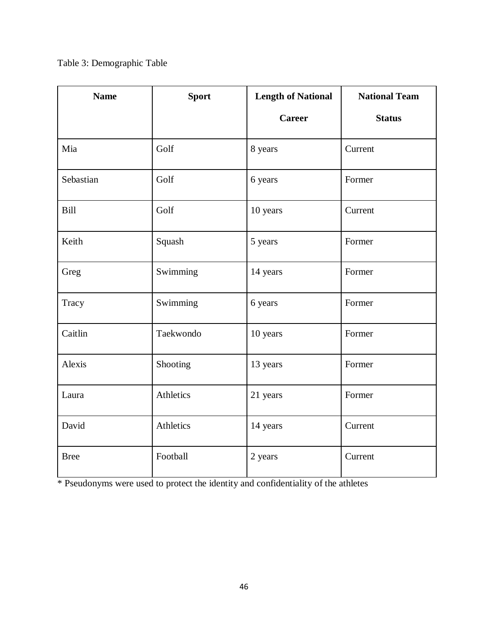### Table 3: Demographic Table

| <b>Name</b> | <b>Sport</b> | <b>Length of National</b> | <b>National Team</b> |
|-------------|--------------|---------------------------|----------------------|
|             |              | <b>Career</b>             | <b>Status</b>        |
| Mia         | Golf         | 8 years                   | Current              |
| Sebastian   | Golf         | 6 years                   | Former               |
| Bill        | Golf         | 10 years                  | Current              |
| Keith       | Squash       | 5 years                   | Former               |
| Greg        | Swimming     | 14 years                  | Former               |
| Tracy       | Swimming     | 6 years                   | Former               |
| Caitlin     | Taekwondo    | 10 years                  | Former               |
| Alexis      | Shooting     | 13 years                  | Former               |
| Laura       | Athletics    | 21 years                  | Former               |
| David       | Athletics    | 14 years                  | Current              |
| <b>Bree</b> | Football     | 2 years                   | Current              |

\* Pseudonyms were used to protect the identity and confidentiality of the athletes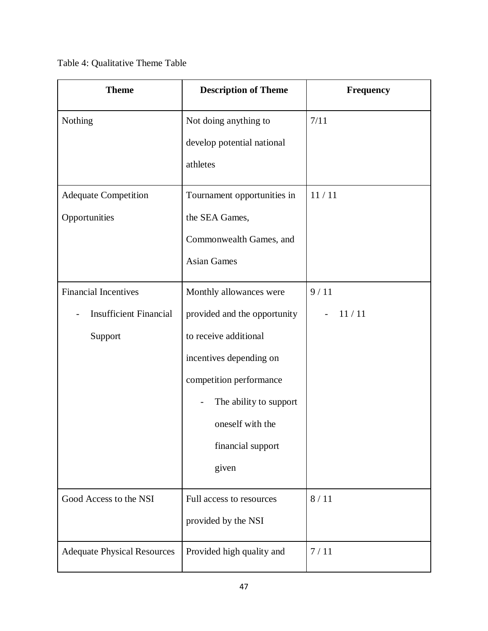Table 4: Qualitative Theme Table

| <b>Theme</b>                       | <b>Description of Theme</b>  | <b>Frequency</b> |
|------------------------------------|------------------------------|------------------|
| Nothing                            | Not doing anything to        | 7/11             |
|                                    | develop potential national   |                  |
|                                    | athletes                     |                  |
| <b>Adequate Competition</b>        | Tournament opportunities in  | 11/11            |
| Opportunities                      | the SEA Games,               |                  |
|                                    | Commonwealth Games, and      |                  |
|                                    | <b>Asian Games</b>           |                  |
| <b>Financial Incentives</b>        | Monthly allowances were      | 9/11             |
| <b>Insufficient Financial</b>      | provided and the opportunity | 11/11            |
| Support                            | to receive additional        |                  |
|                                    | incentives depending on      |                  |
|                                    | competition performance      |                  |
|                                    | The ability to support       |                  |
|                                    | oneself with the             |                  |
|                                    | financial support            |                  |
|                                    | given                        |                  |
| Good Access to the NSI             | Full access to resources     | 8/11             |
|                                    | provided by the NSI          |                  |
| <b>Adequate Physical Resources</b> | Provided high quality and    | 7/11             |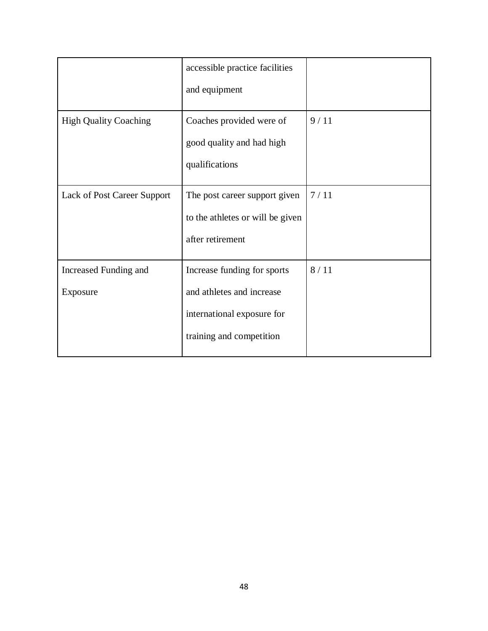|                                   | accessible practice facilities<br>and equipment                                                                    |      |
|-----------------------------------|--------------------------------------------------------------------------------------------------------------------|------|
| <b>High Quality Coaching</b>      | Coaches provided were of<br>good quality and had high<br>qualifications                                            | 9/11 |
| Lack of Post Career Support       | The post career support given<br>to the athletes or will be given<br>after retirement                              | 7/11 |
| Increased Funding and<br>Exposure | Increase funding for sports<br>and athletes and increase<br>international exposure for<br>training and competition | 8/11 |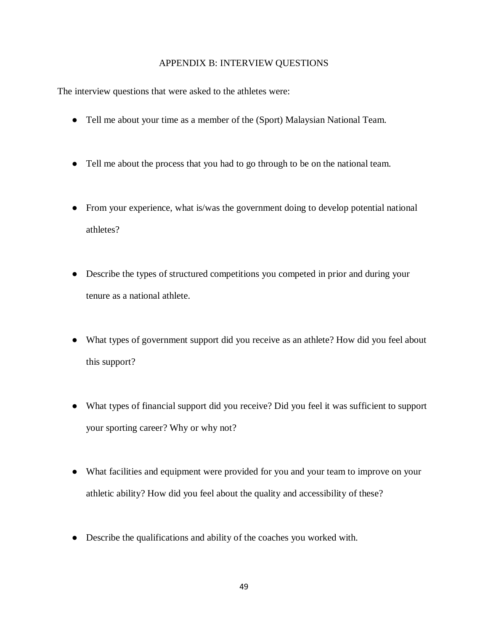#### APPENDIX B: INTERVIEW QUESTIONS

The interview questions that were asked to the athletes were:

- Tell me about your time as a member of the (Sport) Malaysian National Team.
- Tell me about the process that you had to go through to be on the national team.
- From your experience, what is/was the government doing to develop potential national athletes?
- Describe the types of structured competitions you competed in prior and during your tenure as a national athlete.
- What types of government support did you receive as an athlete? How did you feel about this support?
- What types of financial support did you receive? Did you feel it was sufficient to support your sporting career? Why or why not?
- What facilities and equipment were provided for you and your team to improve on your athletic ability? How did you feel about the quality and accessibility of these?
- Describe the qualifications and ability of the coaches you worked with.